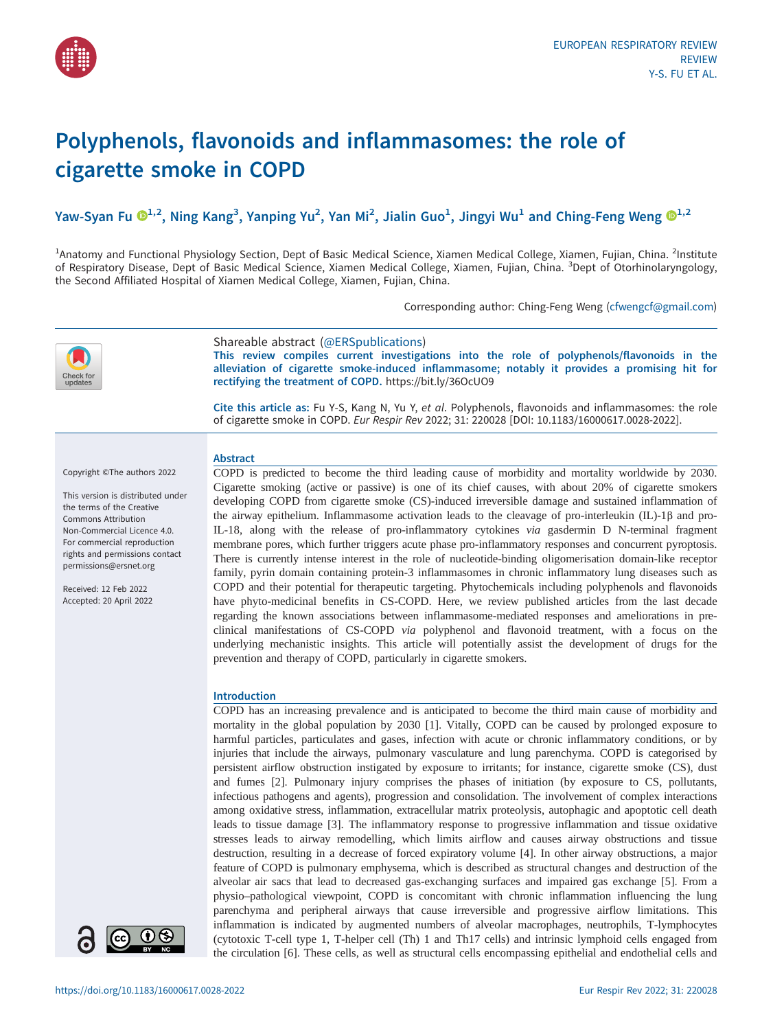

# Polyphenols, flavonoids and inflammasomes: the role of cigarette smoke in COPD

Yaw-Syan Fu  $\mathbf{O}^{1,2}$  $\mathbf{O}^{1,2}$  $\mathbf{O}^{1,2}$ , Ning Kang $^3$ , Yanping Yu $^2$ , Yan Mi $^2$ , Jialin Guo $^1$ , Jingyi Wu $^1$  and Ching-Feng Weng  $\mathbf{O}^{1,2}$ 

<sup>1</sup>Anatomy and Functional Physiology Section, Dept of Basic Medical Science, Xiamen Medical College, Xiamen, Fujian, China. <sup>2</sup>Institute of Respiratory Disease, Dept of Basic Medical Science, Xiamen Medical College, Xiamen, Fujian, China. <sup>3</sup>Dept of Otorhinolaryngology, the Second Affiliated Hospital of Xiamen Medical College, Xiamen, Fujian, China.

Corresponding author: Ching-Feng Weng ([cfwengcf@gmail.com](mailto:cfwengcf@gmail.com))



Shareable abstract (@ERSpublications)

This review compiles current investigations into the role of polyphenols/flavonoids in the alleviation of cigarette smoke-induced inflammasome; notably it provides a promising hit for rectifying the treatment of COPD. <https://bit.ly/36OcUO9>

Cite this article as: Fu Y-S, Kang N, Yu Y, et al. Polyphenols, flavonoids and inflammasomes: the role of cigarette smoke in COPD. Eur Respir Rev 2022; 31: 220028 [\[DOI: 10.1183/16000617.0028-2022\].](https://doi.org/10.1183/16000617.0028-2022)

#### Abstract

This version is distributed under the terms of the Creative Commons Attribution Non-Commercial Licence 4.0. For commercial reproduction

rights and permissions contact [permissions@ersnet.org](mailto:permissions@ersnet.org)

Copyright ©The authors 2022

Received: 12 Feb 2022 Accepted: 20 April 2022



COPD is predicted to become the third leading cause of morbidity and mortality worldwide by 2030. Cigarette smoking (active or passive) is one of its chief causes, with about 20% of cigarette smokers developing COPD from cigarette smoke (CS)-induced irreversible damage and sustained inflammation of the airway epithelium. Inflammasome activation leads to the cleavage of pro-interleukin (IL)-1β and pro-IL-18, along with the release of pro-inflammatory cytokines via gasdermin D N-terminal fragment membrane pores, which further triggers acute phase pro-inflammatory responses and concurrent pyroptosis. There is currently intense interest in the role of nucleotide-binding oligomerisation domain-like receptor family, pyrin domain containing protein-3 inflammasomes in chronic inflammatory lung diseases such as COPD and their potential for therapeutic targeting. Phytochemicals including polyphenols and flavonoids have phyto-medicinal benefits in CS-COPD. Here, we review published articles from the last decade regarding the known associations between inflammasome-mediated responses and ameliorations in preclinical manifestations of CS-COPD via polyphenol and flavonoid treatment, with a focus on the underlying mechanistic insights. This article will potentially assist the development of drugs for the prevention and therapy of COPD, particularly in cigarette smokers.

## Introduction

COPD has an increasing prevalence and is anticipated to become the third main cause of morbidity and mortality in the global population by 2030 [[1](#page-14-0)]. Vitally, COPD can be caused by prolonged exposure to harmful particles, particulates and gases, infection with acute or chronic inflammatory conditions, or by injuries that include the airways, pulmonary vasculature and lung parenchyma. COPD is categorised by persistent airflow obstruction instigated by exposure to irritants; for instance, cigarette smoke (CS), dust and fumes [\[2\]](#page-14-0). Pulmonary injury comprises the phases of initiation (by exposure to CS, pollutants, infectious pathogens and agents), progression and consolidation. The involvement of complex interactions among oxidative stress, inflammation, extracellular matrix proteolysis, autophagic and apoptotic cell death leads to tissue damage [\[3\]](#page-14-0). The inflammatory response to progressive inflammation and tissue oxidative stresses leads to airway remodelling, which limits airflow and causes airway obstructions and tissue destruction, resulting in a decrease of forced expiratory volume [[4](#page-14-0)]. In other airway obstructions, a major feature of COPD is pulmonary emphysema, which is described as structural changes and destruction of the alveolar air sacs that lead to decreased gas-exchanging surfaces and impaired gas exchange [[5](#page-14-0)]. From a physio–pathological viewpoint, COPD is concomitant with chronic inflammation influencing the lung parenchyma and peripheral airways that cause irreversible and progressive airflow limitations. This inflammation is indicated by augmented numbers of alveolar macrophages, neutrophils, T-lymphocytes (cytotoxic T-cell type 1, T-helper cell (Th) 1 and Th17 cells) and intrinsic lymphoid cells engaged from the circulation [[6](#page-14-0)]. These cells, as well as structural cells encompassing epithelial and endothelial cells and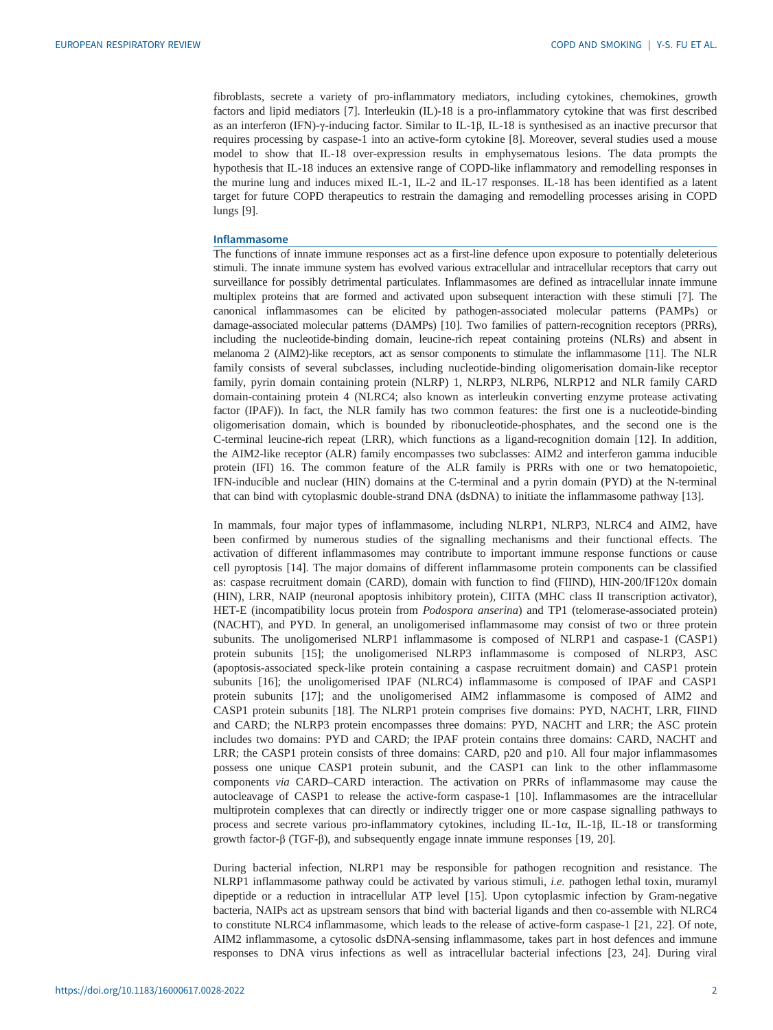fibroblasts, secrete a variety of pro-inflammatory mediators, including cytokines, chemokines, growth factors and lipid mediators [\[7\]](#page-14-0). Interleukin (IL)-18 is a pro-inflammatory cytokine that was first described as an interferon (IFN)-γ-inducing factor. Similar to IL-1β, IL-18 is synthesised as an inactive precursor that requires processing by caspase-1 into an active-form cytokine [\[8\]](#page-14-0). Moreover, several studies used a mouse model to show that IL-18 over-expression results in emphysematous lesions. The data prompts the hypothesis that IL-18 induces an extensive range of COPD-like inflammatory and remodelling responses in the murine lung and induces mixed IL-1, IL-2 and IL-17 responses. IL-18 has been identified as a latent target for future COPD therapeutics to restrain the damaging and remodelling processes arising in COPD lungs [\[9\]](#page-15-0).

#### Inflammasome

The functions of innate immune responses act as a first-line defence upon exposure to potentially deleterious stimuli. The innate immune system has evolved various extracellular and intracellular receptors that carry out surveillance for possibly detrimental particulates. Inflammasomes are defined as intracellular innate immune multiplex proteins that are formed and activated upon subsequent interaction with these stimuli [\[7\]](#page-14-0). The canonical inflammasomes can be elicited by pathogen-associated molecular patterns (PAMPs) or damage-associated molecular patterns (DAMPs) [[10](#page-15-0)]. Two families of pattern-recognition receptors (PRRs), including the nucleotide-binding domain, leucine-rich repeat containing proteins (NLRs) and absent in melanoma 2 (AIM2)-like receptors, act as sensor components to stimulate the inflammasome [\[11\]](#page-15-0). The NLR family consists of several subclasses, including nucleotide-binding oligomerisation domain-like receptor family, pyrin domain containing protein (NLRP) 1, NLRP3, NLRP6, NLRP12 and NLR family CARD domain-containing protein 4 (NLRC4; also known as interleukin converting enzyme protease activating factor (IPAF)). In fact, the NLR family has two common features: the first one is a nucleotide-binding oligomerisation domain, which is bounded by ribonucleotide-phosphates, and the second one is the C-terminal leucine-rich repeat (LRR), which functions as a ligand-recognition domain [\[12](#page-15-0)]. In addition, the AIM2-like receptor (ALR) family encompasses two subclasses: AIM2 and interferon gamma inducible protein (IFI) 16. The common feature of the ALR family is PRRs with one or two hematopoietic, IFN-inducible and nuclear (HIN) domains at the C-terminal and a pyrin domain (PYD) at the N-terminal that can bind with cytoplasmic double-strand DNA (dsDNA) to initiate the inflammasome pathway [[13\]](#page-15-0).

In mammals, four major types of inflammasome, including NLRP1, NLRP3, NLRC4 and AIM2, have been confirmed by numerous studies of the signalling mechanisms and their functional effects. The activation of different inflammasomes may contribute to important immune response functions or cause cell pyroptosis [[14\]](#page-15-0). The major domains of different inflammasome protein components can be classified as: caspase recruitment domain (CARD), domain with function to find (FIIND), HIN-200/IF120x domain (HIN), LRR, NAIP (neuronal apoptosis inhibitory protein), CIITA (MHC class II transcription activator), HET-E (incompatibility locus protein from Podospora anserina) and TP1 (telomerase-associated protein) (NACHT), and PYD. In general, an unoligomerised inflammasome may consist of two or three protein subunits. The unoligomerised NLRP1 inflammasome is composed of NLRP1 and caspase-1 (CASP1) protein subunits [[15\]](#page-15-0); the unoligomerised NLRP3 inflammasome is composed of NLRP3, ASC (apoptosis-associated speck-like protein containing a caspase recruitment domain) and CASP1 protein subunits [\[16](#page-15-0)]; the unoligomerised IPAF (NLRC4) inflammasome is composed of IPAF and CASP1 protein subunits [\[17](#page-15-0)]; and the unoligomerised AIM2 inflammasome is composed of AIM2 and CASP1 protein subunits [\[18](#page-15-0)]. The NLRP1 protein comprises five domains: PYD, NACHT, LRR, FIIND and CARD; the NLRP3 protein encompasses three domains: PYD, NACHT and LRR; the ASC protein includes two domains: PYD and CARD; the IPAF protein contains three domains: CARD, NACHT and LRR; the CASP1 protein consists of three domains: CARD, p20 and p10. All four major inflammasomes possess one unique CASP1 protein subunit, and the CASP1 can link to the other inflammasome components via CARD–CARD interaction. The activation on PRRs of inflammasome may cause the autocleavage of CASP1 to release the active-form caspase-1 [\[10](#page-15-0)]. Inflammasomes are the intracellular multiprotein complexes that can directly or indirectly trigger one or more caspase signalling pathways to process and secrete various pro-inflammatory cytokines, including IL-1α, IL-1β, IL-18 or transforming growth factor-β (TGF-β), and subsequently engage innate immune responses [\[19](#page-15-0), [20](#page-15-0)].

During bacterial infection, NLRP1 may be responsible for pathogen recognition and resistance. The NLRP1 inflammasome pathway could be activated by various stimuli, i.e. pathogen lethal toxin, muramyl dipeptide or a reduction in intracellular ATP level [\[15](#page-15-0)]. Upon cytoplasmic infection by Gram-negative bacteria, NAIPs act as upstream sensors that bind with bacterial ligands and then co-assemble with NLRC4 to constitute NLRC4 inflammasome, which leads to the release of active-form caspase-1 [[21, 22\]](#page-15-0). Of note, AIM2 inflammasome, a cytosolic dsDNA-sensing inflammasome, takes part in host defences and immune responses to DNA virus infections as well as intracellular bacterial infections [\[23](#page-15-0), [24\]](#page-15-0). During viral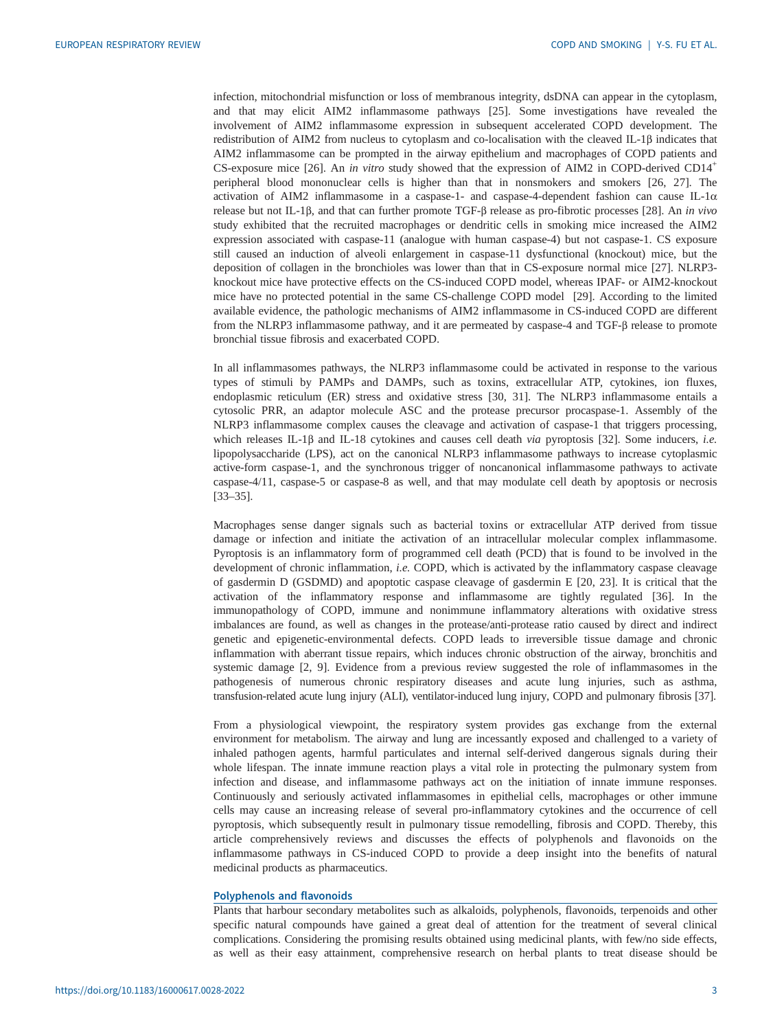infection, mitochondrial misfunction or loss of membranous integrity, dsDNA can appear in the cytoplasm, and that may elicit AIM2 inflammasome pathways [[25\]](#page-15-0). Some investigations have revealed the involvement of AIM2 inflammasome expression in subsequent accelerated COPD development. The redistribution of AIM2 from nucleus to cytoplasm and co-localisation with the cleaved IL-1β indicates that AIM2 inflammasome can be prompted in the airway epithelium and macrophages of COPD patients and CS-exposure mice [\[26](#page-15-0)]. An in vitro study showed that the expression of AIM2 in COPD-derived CD14<sup>+</sup> peripheral blood mononuclear cells is higher than that in nonsmokers and smokers [\[26](#page-15-0), [27](#page-15-0)]. The activation of AIM2 inflammasome in a caspase-1- and caspase-4-dependent fashion can cause IL-1 $\alpha$ release but not IL-1β, and that can further promote TGF-β release as pro-fibrotic processes [[28\]](#page-15-0). An in vivo study exhibited that the recruited macrophages or dendritic cells in smoking mice increased the AIM2 expression associated with caspase-11 (analogue with human caspase-4) but not caspase-1. CS exposure still caused an induction of alveoli enlargement in caspase-11 dysfunctional (knockout) mice, but the deposition of collagen in the bronchioles was lower than that in CS-exposure normal mice [\[27](#page-15-0)]. NLRP3 knockout mice have protective effects on the CS-induced COPD model, whereas IPAF- or AIM2-knockout mice have no protected potential in the same CS-challenge COPD model [[29\]](#page-15-0). According to the limited available evidence, the pathologic mechanisms of AIM2 inflammasome in CS-induced COPD are different from the NLRP3 inflammasome pathway, and it are permeated by caspase-4 and TGF-β release to promote bronchial tissue fibrosis and exacerbated COPD.

In all inflammasomes pathways, the NLRP3 inflammasome could be activated in response to the various types of stimuli by PAMPs and DAMPs, such as toxins, extracellular ATP, cytokines, ion fluxes, endoplasmic reticulum (ER) stress and oxidative stress [\[30](#page-15-0), [31](#page-15-0)]. The NLRP3 inflammasome entails a cytosolic PRR, an adaptor molecule ASC and the protease precursor procaspase-1. Assembly of the NLRP3 inflammasome complex causes the cleavage and activation of caspase-1 that triggers processing, which releases IL-1β and IL-18 cytokines and causes cell death *via* pyroptosis [\[32](#page-15-0)]. Some inducers, *i.e.* lipopolysaccharide (LPS), act on the canonical NLRP3 inflammasome pathways to increase cytoplasmic active-form caspase-1, and the synchronous trigger of noncanonical inflammasome pathways to activate caspase-4/11, caspase-5 or caspase-8 as well, and that may modulate cell death by apoptosis or necrosis [\[33](#page-15-0)–[35\]](#page-15-0).

Macrophages sense danger signals such as bacterial toxins or extracellular ATP derived from tissue damage or infection and initiate the activation of an intracellular molecular complex inflammasome. Pyroptosis is an inflammatory form of programmed cell death (PCD) that is found to be involved in the development of chronic inflammation, i.e. COPD, which is activated by the inflammatory caspase cleavage of gasdermin D (GSDMD) and apoptotic caspase cleavage of gasdermin E [[20, 23](#page-15-0)]. It is critical that the activation of the inflammatory response and inflammasome are tightly regulated [[36\]](#page-15-0). In the immunopathology of COPD, immune and nonimmune inflammatory alterations with oxidative stress imbalances are found, as well as changes in the protease/anti-protease ratio caused by direct and indirect genetic and epigenetic-environmental defects. COPD leads to irreversible tissue damage and chronic inflammation with aberrant tissue repairs, which induces chronic obstruction of the airway, bronchitis and systemic damage [[2](#page-14-0), [9](#page-15-0)]. Evidence from a previous review suggested the role of inflammasomes in the pathogenesis of numerous chronic respiratory diseases and acute lung injuries, such as asthma, transfusion-related acute lung injury (ALI), ventilator-induced lung injury, COPD and pulmonary fibrosis [\[37](#page-15-0)].

From a physiological viewpoint, the respiratory system provides gas exchange from the external environment for metabolism. The airway and lung are incessantly exposed and challenged to a variety of inhaled pathogen agents, harmful particulates and internal self-derived dangerous signals during their whole lifespan. The innate immune reaction plays a vital role in protecting the pulmonary system from infection and disease, and inflammasome pathways act on the initiation of innate immune responses. Continuously and seriously activated inflammasomes in epithelial cells, macrophages or other immune cells may cause an increasing release of several pro-inflammatory cytokines and the occurrence of cell pyroptosis, which subsequently result in pulmonary tissue remodelling, fibrosis and COPD. Thereby, this article comprehensively reviews and discusses the effects of polyphenols and flavonoids on the inflammasome pathways in CS-induced COPD to provide a deep insight into the benefits of natural medicinal products as pharmaceutics.

#### Polyphenols and flavonoids

Plants that harbour secondary metabolites such as alkaloids, polyphenols, flavonoids, terpenoids and other specific natural compounds have gained a great deal of attention for the treatment of several clinical complications. Considering the promising results obtained using medicinal plants, with few/no side effects, as well as their easy attainment, comprehensive research on herbal plants to treat disease should be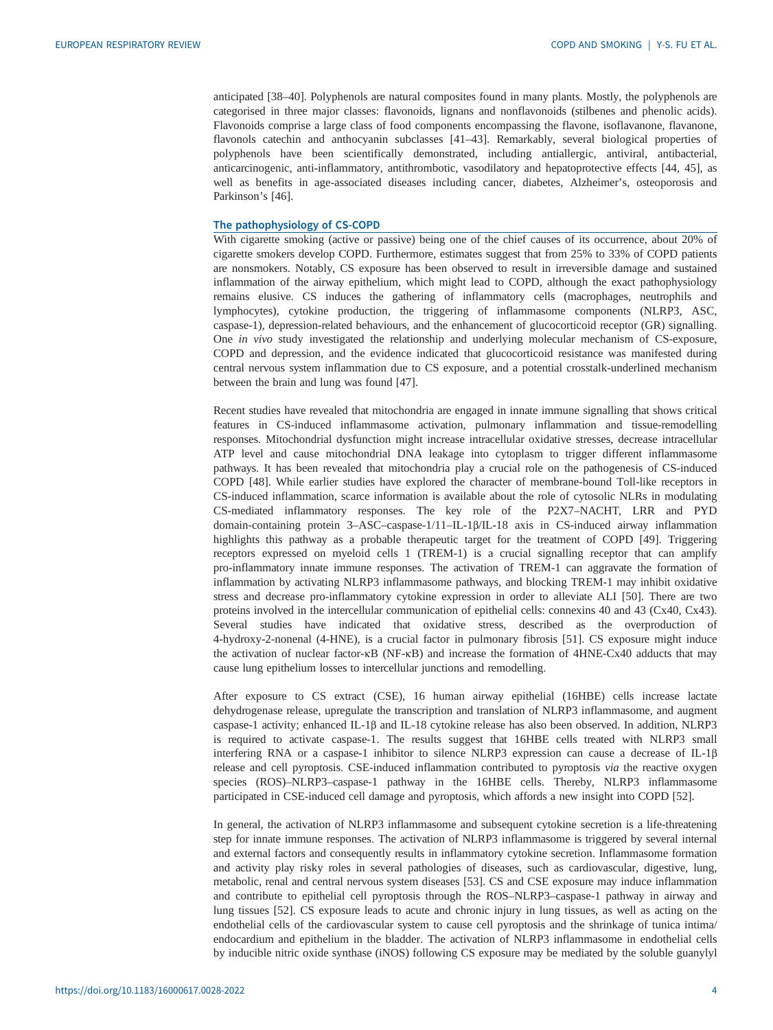anticipated [[38](#page-15-0)–[40](#page-16-0)]. Polyphenols are natural composites found in many plants. Mostly, the polyphenols are categorised in three major classes: flavonoids, lignans and nonflavonoids (stilbenes and phenolic acids). Flavonoids comprise a large class of food components encompassing the flavone, isoflavanone, flavanone, flavonols catechin and anthocyanin subclasses [[41](#page-16-0)–[43](#page-16-0)]. Remarkably, several biological properties of polyphenols have been scientifically demonstrated, including antiallergic, antiviral, antibacterial, anticarcinogenic, anti-inflammatory, antithrombotic, vasodilatory and hepatoprotective effects [[44, 45\]](#page-16-0), as well as benefits in age-associated diseases including cancer, diabetes, Alzheimer's, osteoporosis and Parkinson's [[46\]](#page-16-0).

#### The pathophysiology of CS-COPD

With cigarette smoking (active or passive) being one of the chief causes of its occurrence, about 20% of cigarette smokers develop COPD. Furthermore, estimates suggest that from 25% to 33% of COPD patients are nonsmokers. Notably, CS exposure has been observed to result in irreversible damage and sustained inflammation of the airway epithelium, which might lead to COPD, although the exact pathophysiology remains elusive. CS induces the gathering of inflammatory cells (macrophages, neutrophils and lymphocytes), cytokine production, the triggering of inflammasome components (NLRP3, ASC, caspase-1), depression-related behaviours, and the enhancement of glucocorticoid receptor (GR) signalling. One in vivo study investigated the relationship and underlying molecular mechanism of CS-exposure, COPD and depression, and the evidence indicated that glucocorticoid resistance was manifested during central nervous system inflammation due to CS exposure, and a potential crosstalk-underlined mechanism between the brain and lung was found [\[47](#page-16-0)].

Recent studies have revealed that mitochondria are engaged in innate immune signalling that shows critical features in CS-induced inflammasome activation, pulmonary inflammation and tissue-remodelling responses. Mitochondrial dysfunction might increase intracellular oxidative stresses, decrease intracellular ATP level and cause mitochondrial DNA leakage into cytoplasm to trigger different inflammasome pathways. It has been revealed that mitochondria play a crucial role on the pathogenesis of CS-induced COPD [[48\]](#page-16-0). While earlier studies have explored the character of membrane-bound Toll-like receptors in CS-induced inflammation, scarce information is available about the role of cytosolic NLRs in modulating CS-mediated inflammatory responses. The key role of the P2X7–NACHT, LRR and PYD domain-containing protein 3–ASC–caspase-1/11–IL-1β/IL-18 axis in CS-induced airway inflammation highlights this pathway as a probable therapeutic target for the treatment of COPD [[49\]](#page-16-0). Triggering receptors expressed on myeloid cells 1 (TREM-1) is a crucial signalling receptor that can amplify pro-inflammatory innate immune responses. The activation of TREM-1 can aggravate the formation of inflammation by activating NLRP3 inflammasome pathways, and blocking TREM-1 may inhibit oxidative stress and decrease pro-inflammatory cytokine expression in order to alleviate ALI [\[50](#page-16-0)]. There are two proteins involved in the intercellular communication of epithelial cells: connexins 40 and 43 (Cx40, Cx43). Several studies have indicated that oxidative stress, described as the overproduction of 4-hydroxy-2-nonenal (4-HNE), is a crucial factor in pulmonary fibrosis [\[51](#page-16-0)]. CS exposure might induce the activation of nuclear factor-κB (NF-κB) and increase the formation of 4HNE-Cx40 adducts that may cause lung epithelium losses to intercellular junctions and remodelling.

After exposure to CS extract (CSE), 16 human airway epithelial (16HBE) cells increase lactate dehydrogenase release, upregulate the transcription and translation of NLRP3 inflammasome, and augment caspase-1 activity; enhanced IL-1β and IL-18 cytokine release has also been observed. In addition, NLRP3 is required to activate caspase-1. The results suggest that 16HBE cells treated with NLRP3 small interfering RNA or a caspase-1 inhibitor to silence NLRP3 expression can cause a decrease of IL-1β release and cell pyroptosis. CSE-induced inflammation contributed to pyroptosis via the reactive oxygen species (ROS)–NLRP3–caspase-1 pathway in the 16HBE cells. Thereby, NLRP3 inflammasome participated in CSE-induced cell damage and pyroptosis, which affords a new insight into COPD [\[52](#page-16-0)].

In general, the activation of NLRP3 inflammasome and subsequent cytokine secretion is a life-threatening step for innate immune responses. The activation of NLRP3 inflammasome is triggered by several internal and external factors and consequently results in inflammatory cytokine secretion. Inflammasome formation and activity play risky roles in several pathologies of diseases, such as cardiovascular, digestive, lung, metabolic, renal and central nervous system diseases [\[53](#page-16-0)]. CS and CSE exposure may induce inflammation and contribute to epithelial cell pyroptosis through the ROS–NLRP3–caspase-1 pathway in airway and lung tissues [[52\]](#page-16-0). CS exposure leads to acute and chronic injury in lung tissues, as well as acting on the endothelial cells of the cardiovascular system to cause cell pyroptosis and the shrinkage of tunica intima/ endocardium and epithelium in the bladder. The activation of NLRP3 inflammasome in endothelial cells by inducible nitric oxide synthase (iNOS) following CS exposure may be mediated by the soluble guanylyl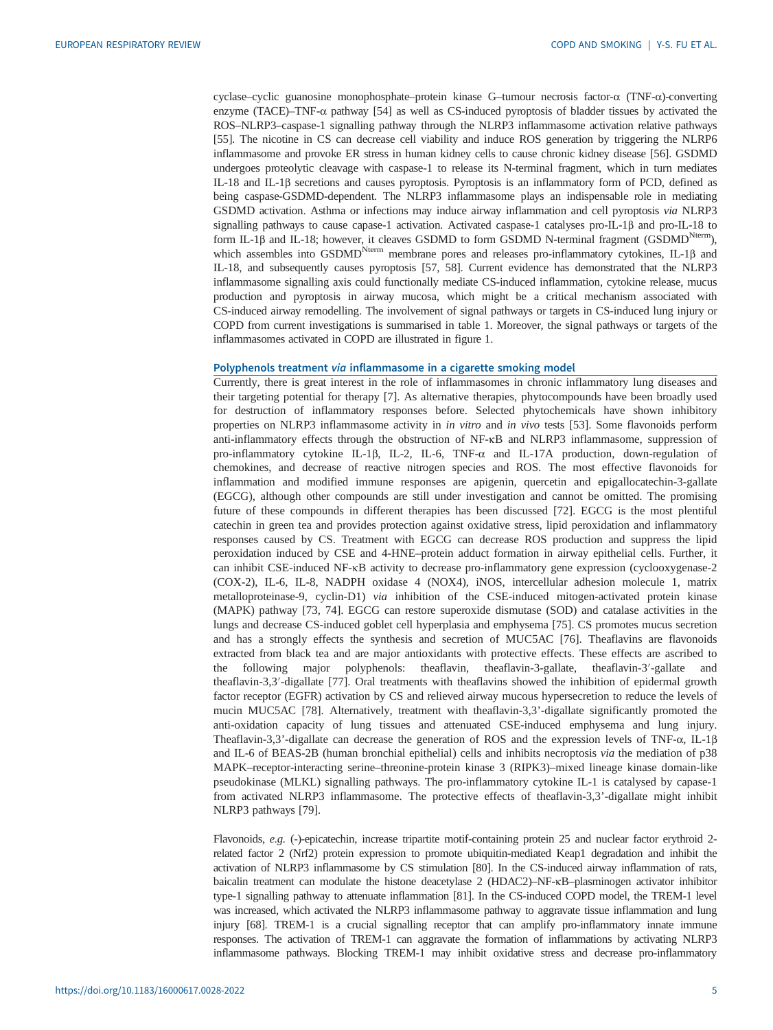cyclase–cyclic guanosine monophosphate–protein kinase G–tumour necrosis factor-α (TNF-α)-converting enzyme (TACE)–TNF-α pathway [\[54](#page-16-0)] as well as CS-induced pyroptosis of bladder tissues by activated the ROS–NLRP3–caspase-1 signalling pathway through the NLRP3 inflammasome activation relative pathways [\[55](#page-16-0)]. The nicotine in CS can decrease cell viability and induce ROS generation by triggering the NLRP6 inflammasome and provoke ER stress in human kidney cells to cause chronic kidney disease [[56\]](#page-16-0). GSDMD undergoes proteolytic cleavage with caspase-1 to release its N-terminal fragment, which in turn mediates IL-18 and IL-1β secretions and causes pyroptosis. Pyroptosis is an inflammatory form of PCD, defined as being caspase-GSDMD-dependent. The NLRP3 inflammasome plays an indispensable role in mediating GSDMD activation. Asthma or infections may induce airway inflammation and cell pyroptosis via NLRP3 signalling pathways to cause capase-1 activation. Activated caspase-1 catalyses pro-IL-1β and pro-IL-18 to form IL-1β and IL-18; however, it cleaves GSDMD to form GSDMD N-terminal fragment (GSDMD<sup>Nterm</sup>), which assembles into GSDMD<sup>Nterm</sup> membrane pores and releases pro-inflammatory cytokines, IL-1β and IL-18, and subsequently causes pyroptosis [[57, 58](#page-16-0)]. Current evidence has demonstrated that the NLRP3 inflammasome signalling axis could functionally mediate CS-induced inflammation, cytokine release, mucus production and pyroptosis in airway mucosa, which might be a critical mechanism associated with CS-induced airway remodelling. The involvement of signal pathways or targets in CS-induced lung injury or COPD from current investigations is summarised in [table 1.](#page-5-0) Moreover, the signal pathways or targets of the inflammasomes activated in COPD are illustrated in [figure 1](#page-6-0).

## Polyphenols treatment via inflammasome in a cigarette smoking model

Currently, there is great interest in the role of inflammasomes in chronic inflammatory lung diseases and their targeting potential for therapy [[7](#page-14-0)]. As alternative therapies, phytocompounds have been broadly used for destruction of inflammatory responses before. Selected phytochemicals have shown inhibitory properties on NLRP3 inflammasome activity in *in vitro* and *in vivo* tests [[53\]](#page-16-0). Some flavonoids perform anti-inflammatory effects through the obstruction of NF-κB and NLRP3 inflammasome, suppression of pro-inflammatory cytokine IL-1β, IL-2, IL-6, TNF-α and IL-17A production, down-regulation of chemokines, and decrease of reactive nitrogen species and ROS. The most effective flavonoids for inflammation and modified immune responses are apigenin, quercetin and epigallocatechin-3-gallate (EGCG), although other compounds are still under investigation and cannot be omitted. The promising future of these compounds in different therapies has been discussed [\[72](#page-17-0)]. EGCG is the most plentiful catechin in green tea and provides protection against oxidative stress, lipid peroxidation and inflammatory responses caused by CS. Treatment with EGCG can decrease ROS production and suppress the lipid peroxidation induced by CSE and 4-HNE–protein adduct formation in airway epithelial cells. Further, it can inhibit CSE-induced NF-κB activity to decrease pro-inflammatory gene expression (cyclooxygenase-2 (COX-2), IL-6, IL-8, NADPH oxidase 4 (NOX4), iNOS, intercellular adhesion molecule 1, matrix metalloproteinase-9, cyclin-D1) via inhibition of the CSE-induced mitogen-activated protein kinase (MAPK) pathway [[73, 74\]](#page-17-0). EGCG can restore superoxide dismutase (SOD) and catalase activities in the lungs and decrease CS-induced goblet cell hyperplasia and emphysema [\[75](#page-17-0)]. CS promotes mucus secretion and has a strongly effects the synthesis and secretion of MUC5AC [\[76](#page-17-0)]. Theaflavins are flavonoids extracted from black tea and are major antioxidants with protective effects. These effects are ascribed to the following major polyphenols: theaflavin, theaflavin-3-gallate, theaflavin-3′-gallate and theaflavin-3,3′-digallate [\[77](#page-17-0)]. Oral treatments with theaflavins showed the inhibition of epidermal growth factor receptor (EGFR) activation by CS and relieved airway mucous hypersecretion to reduce the levels of mucin MUC5AC [[78](#page-17-0)]. Alternatively, treatment with theaflavin-3,3'-digallate significantly promoted the anti-oxidation capacity of lung tissues and attenuated CSE-induced emphysema and lung injury. Theaflavin-3,3'-digallate can decrease the generation of ROS and the expression levels of TNF-α, IL-1β and IL-6 of BEAS-2B (human bronchial epithelial) cells and inhibits necroptosis via the mediation of p38 MAPK–receptor-interacting serine–threonine-protein kinase 3 (RIPK3)–mixed lineage kinase domain-like pseudokinase (MLKL) signalling pathways. The pro-inflammatory cytokine IL-1 is catalysed by capase-1 from activated NLRP3 inflammasome. The protective effects of theaflavin-3,3'-digallate might inhibit NLRP3 pathways [\[79](#page-17-0)].

Flavonoids, e.g. (-)-epicatechin, increase tripartite motif-containing protein 25 and nuclear factor erythroid 2 related factor 2 (Nrf2) protein expression to promote ubiquitin-mediated Keap1 degradation and inhibit the activation of NLRP3 inflammasome by CS stimulation [[80](#page-17-0)]. In the CS-induced airway inflammation of rats, baicalin treatment can modulate the histone deacetylase 2 (HDAC2)–NF-κB–plasminogen activator inhibitor type-1 signalling pathway to attenuate inflammation [\[81\]](#page-17-0). In the CS-induced COPD model, the TREM-1 level was increased, which activated the NLRP3 inflammasome pathway to aggravate tissue inflammation and lung injury [[68](#page-17-0)]. TREM-1 is a crucial signalling receptor that can amplify pro-inflammatory innate immune responses. The activation of TREM-1 can aggravate the formation of inflammations by activating NLRP3 inflammasome pathways. Blocking TREM-1 may inhibit oxidative stress and decrease pro-inflammatory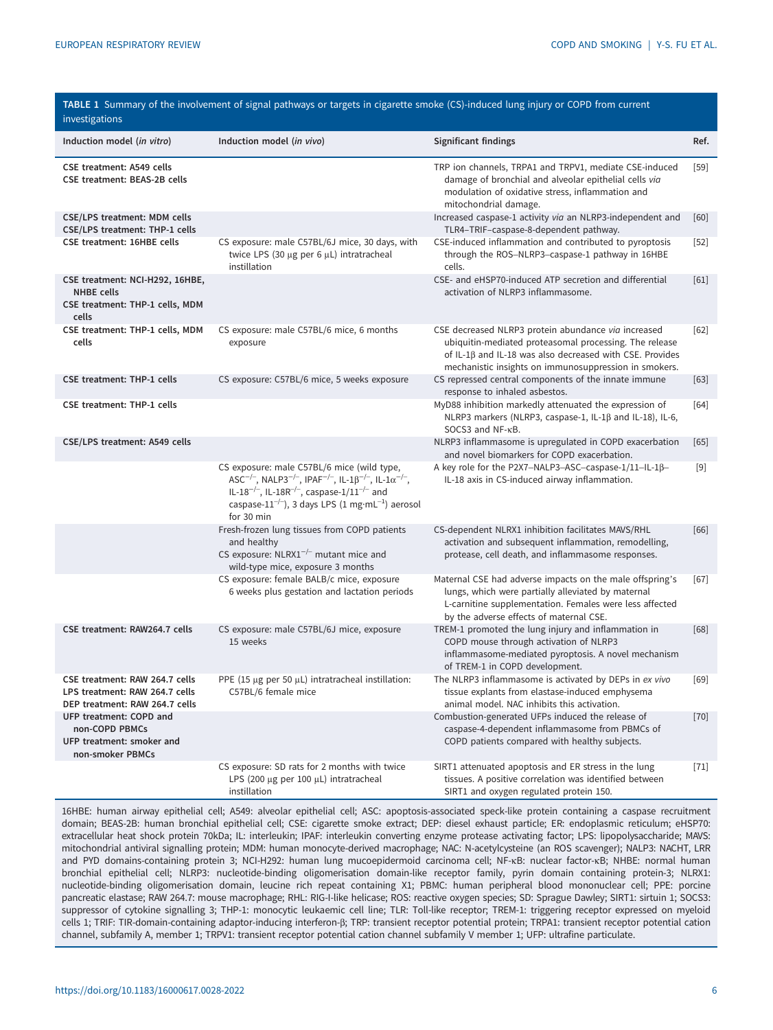<span id="page-5-0"></span>

| TABLE 1 Summary of the involvement of signal pathways or targets in cigarette smoke (CS)-induced lung injury or COPD from current<br>investigations |                                                                                                                                                                                                                                                                                                                                                          |                                                                                                                                                                                                                                           |        |
|-----------------------------------------------------------------------------------------------------------------------------------------------------|----------------------------------------------------------------------------------------------------------------------------------------------------------------------------------------------------------------------------------------------------------------------------------------------------------------------------------------------------------|-------------------------------------------------------------------------------------------------------------------------------------------------------------------------------------------------------------------------------------------|--------|
| Induction model (in vitro)                                                                                                                          | Induction model (in vivo)                                                                                                                                                                                                                                                                                                                                | Significant findings                                                                                                                                                                                                                      | Ref.   |
| <b>CSE treatment: A549 cells</b><br>CSE treatment: BEAS-2B cells                                                                                    |                                                                                                                                                                                                                                                                                                                                                          | TRP ion channels, TRPA1 and TRPV1, mediate CSE-induced<br>damage of bronchial and alveolar epithelial cells via<br>modulation of oxidative stress, inflammation and<br>mitochondrial damage.                                              | $[59]$ |
| CSE/LPS treatment: MDM cells<br>CSE/LPS treatment: THP-1 cells                                                                                      |                                                                                                                                                                                                                                                                                                                                                          | Increased caspase-1 activity via an NLRP3-independent and<br>TLR4-TRIF-caspase-8-dependent pathway.                                                                                                                                       | [60]   |
| CSE treatment: 16HBE cells                                                                                                                          | CS exposure: male C57BL/6J mice, 30 days, with<br>twice LPS (30 µg per 6 µL) intratracheal<br>instillation                                                                                                                                                                                                                                               | CSE-induced inflammation and contributed to pyroptosis<br>through the ROS-NLRP3-caspase-1 pathway in 16HBE<br>cells.                                                                                                                      | $[52]$ |
| CSE treatment: NCI-H292, 16HBE,<br><b>NHBE</b> cells<br>CSE treatment: THP-1 cells, MDM<br>cells                                                    |                                                                                                                                                                                                                                                                                                                                                          | CSE- and eHSP70-induced ATP secretion and differential<br>activation of NLRP3 inflammasome.                                                                                                                                               | [61]   |
| CSE treatment: THP-1 cells, MDM<br>cells                                                                                                            | CS exposure: male C57BL/6 mice, 6 months<br>exposure                                                                                                                                                                                                                                                                                                     | CSE decreased NLRP3 protein abundance via increased<br>ubiquitin-mediated proteasomal processing. The release<br>of IL-1 $\beta$ and IL-18 was also decreased with CSE. Provides<br>mechanistic insights on immunosuppression in smokers. | $[62]$ |
| <b>CSE treatment: THP-1 cells</b>                                                                                                                   | CS exposure: C57BL/6 mice, 5 weeks exposure                                                                                                                                                                                                                                                                                                              | CS repressed central components of the innate immune<br>response to inhaled asbestos.                                                                                                                                                     | $[63]$ |
| <b>CSE treatment: THP-1 cells</b>                                                                                                                   |                                                                                                                                                                                                                                                                                                                                                          | MyD88 inhibition markedly attenuated the expression of<br>NLRP3 markers (NLRP3, caspase-1, IL-1 $\beta$ and IL-18), IL-6,<br>SOCS3 and NF-KB.                                                                                             | [64]   |
| CSE/LPS treatment: A549 cells                                                                                                                       |                                                                                                                                                                                                                                                                                                                                                          | NLRP3 inflammasome is upregulated in COPD exacerbation<br>and novel biomarkers for COPD exacerbation.                                                                                                                                     | [65]   |
|                                                                                                                                                     | CS exposure: male C57BL/6 mice (wild type,<br>$\mathsf{ASC}^{-/-}$ , $\mathsf{NALP3}^{-/-}$ , $\mathsf{IPAF}^{-/-}$ , $\mathsf{IL-1B}^{-/-}$ , $\mathsf{IL-1\alpha}^{-/-}$ ,<br>IL-18 <sup>-/-</sup> , IL-18R <sup>-/-</sup> , caspase-1/11 <sup>-/-</sup> and<br>caspase-11 <sup>-/-</sup> ), 3 days LPS (1 mg·mL <sup>-1</sup> ) aerosol<br>for 30 min | A key role for the P2X7-NALP3-ASC-caspase-1/11-IL-1ß-<br>IL-18 axis in CS-induced airway inflammation.                                                                                                                                    | $[9]$  |
|                                                                                                                                                     | Fresh-frozen lung tissues from COPD patients<br>and healthy<br>CS exposure: $NLRX1^{-/-}$ mutant mice and<br>wild-type mice, exposure 3 months                                                                                                                                                                                                           | CS-dependent NLRX1 inhibition facilitates MAVS/RHL<br>activation and subsequent inflammation, remodelling,<br>protease, cell death, and inflammasome responses.                                                                           | [66]   |
|                                                                                                                                                     | CS exposure: female BALB/c mice, exposure<br>6 weeks plus gestation and lactation periods                                                                                                                                                                                                                                                                | Maternal CSE had adverse impacts on the male offspring's<br>lungs, which were partially alleviated by maternal<br>L-carnitine supplementation. Females were less affected<br>by the adverse effects of maternal CSE.                      | $[67]$ |
| CSE treatment: RAW264.7 cells                                                                                                                       | CS exposure: male C57BL/6J mice, exposure<br>15 weeks                                                                                                                                                                                                                                                                                                    | TREM-1 promoted the lung injury and inflammation in<br>COPD mouse through activation of NLRP3<br>inflammasome-mediated pyroptosis. A novel mechanism<br>of TREM-1 in COPD development.                                                    | [68]   |
| CSE treatment: RAW 264.7 cells<br>LPS treatment: RAW 264.7 cells<br>DEP treatment: RAW 264.7 cells                                                  | PPE (15 $\mu$ g per 50 $\mu$ L) intratracheal instillation:<br>C57BL/6 female mice                                                                                                                                                                                                                                                                       | The NLRP3 inflammasome is activated by DEPs in ex vivo<br>tissue explants from elastase-induced emphysema<br>animal model. NAC inhibits this activation.                                                                                  | $[69]$ |
| UFP treatment: COPD and<br>non-COPD PBMCs<br>UFP treatment: smoker and<br>non-smoker PBMCs                                                          |                                                                                                                                                                                                                                                                                                                                                          | Combustion-generated UFPs induced the release of<br>caspase-4-dependent inflammasome from PBMCs of<br>COPD patients compared with healthy subjects.                                                                                       | $[70]$ |
|                                                                                                                                                     | CS exposure: SD rats for 2 months with twice<br>LPS (200 µg per 100 µL) intratracheal<br>instillation                                                                                                                                                                                                                                                    | SIRT1 attenuated apoptosis and ER stress in the lung<br>tissues. A positive correlation was identified between<br>SIRT1 and oxygen regulated protein 150.                                                                                 | $[71]$ |

16HBE: human airway epithelial cell; A549: alveolar epithelial cell; ASC: apoptosis-associated speck-like protein containing a caspase recruitment domain; BEAS-2B: human bronchial epithelial cell; CSE: cigarette smoke extract; DEP: diesel exhaust particle; ER: endoplasmic reticulum; eHSP70: extracellular heat shock protein 70kDa; IL: interleukin; IPAF: interleukin converting enzyme protease activating factor; LPS: lipopolysaccharide; MAVS: mitochondrial antiviral signalling protein; MDM: human monocyte-derived macrophage; NAC: N-acetylcysteine (an ROS scavenger); NALP3: NACHT, LRR and PYD domains-containing protein 3; NCI-H292: human lung mucoepidermoid carcinoma cell; NF-κB: nuclear factor-κB; NHBE: normal human bronchial epithelial cell; NLRP3: nucleotide-binding oligomerisation domain-like receptor family, pyrin domain containing protein-3; NLRX1: nucleotide-binding oligomerisation domain, leucine rich repeat containing X1; PBMC: human peripheral blood mononuclear cell; PPE: porcine pancreatic elastase; RAW 264.7: mouse macrophage; RHL: RIG-I-like helicase; ROS: reactive oxygen species; SD: Sprague Dawley; SIRT1: sirtuin 1; SOCS3: suppressor of cytokine signalling 3; THP-1: monocytic leukaemic cell line; TLR: Toll-like receptor; TREM-1: triggering receptor expressed on myeloid cells 1; TRIF: TIR-domain-containing adaptor-inducing interferon-β; TRP: transient receptor potential protein; TRPA1: transient receptor potential cation channel, subfamily A, member 1; TRPV1: transient receptor potential cation channel subfamily V member 1; UFP: ultrafine particulate.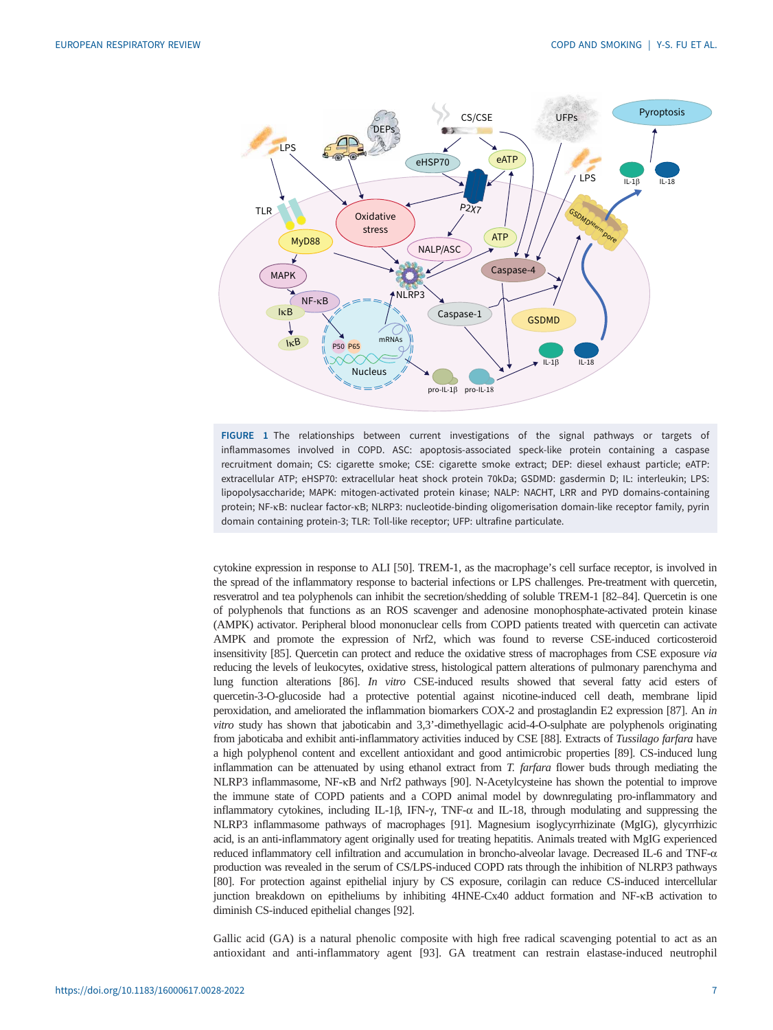<span id="page-6-0"></span>

FIGURE 1 The relationships between current investigations of the signal pathways or targets of inflammasomes involved in COPD. ASC: apoptosis-associated speck-like protein containing a caspase recruitment domain; CS: cigarette smoke; CSE: cigarette smoke extract; DEP: diesel exhaust particle; eATP: extracellular ATP; eHSP70: extracellular heat shock protein 70kDa; GSDMD: gasdermin D; IL: interleukin; LPS: lipopolysaccharide; MAPK: mitogen-activated protein kinase; NALP: NACHT, LRR and PYD domains-containing protein; NF-κB: nuclear factor-κB; NLRP3: nucleotide-binding oligomerisation domain-like receptor family, pyrin domain containing protein-3; TLR: Toll-like receptor; UFP: ultrafine particulate.

cytokine expression in response to ALI [\[50\]](#page-16-0). TREM-1, as the macrophage's cell surface receptor, is involved in the spread of the inflammatory response to bacterial infections or LPS challenges. Pre-treatment with quercetin, resveratrol and tea polyphenols can inhibit the secretion/shedding of soluble TREM-1 [\[82](#page-17-0)–[84\]](#page-17-0). Quercetin is one of polyphenols that functions as an ROS scavenger and adenosine monophosphate-activated protein kinase (AMPK) activator. Peripheral blood mononuclear cells from COPD patients treated with quercetin can activate AMPK and promote the expression of Nrf2, which was found to reverse CSE-induced corticosteroid insensitivity [\[85\]](#page-17-0). Quercetin can protect and reduce the oxidative stress of macrophages from CSE exposure via reducing the levels of leukocytes, oxidative stress, histological pattern alterations of pulmonary parenchyma and lung function alterations [\[86\]](#page-17-0). In vitro CSE-induced results showed that several fatty acid esters of quercetin-3-O-glucoside had a protective potential against nicotine-induced cell death, membrane lipid peroxidation, and ameliorated the inflammation biomarkers COX-2 and prostaglandin E2 expression [[87](#page-17-0)]. An in vitro study has shown that jaboticabin and 3,3'-dimethyellagic acid-4-O-sulphate are polyphenols originating from jaboticaba and exhibit anti-inflammatory activities induced by CSE [[88](#page-17-0)]. Extracts of Tussilago farfara have a high polyphenol content and excellent antioxidant and good antimicrobic properties [\[89\]](#page-17-0). CS-induced lung inflammation can be attenuated by using ethanol extract from  $T$ . farfara flower buds through mediating the NLRP3 inflammasome, NF-κB and Nrf2 pathways [\[90\]](#page-17-0). N-Acetylcysteine has shown the potential to improve the immune state of COPD patients and a COPD animal model by downregulating pro-inflammatory and inflammatory cytokines, including IL-1β, IFN- $\gamma$ , TNF- $\alpha$  and IL-18, through modulating and suppressing the NLRP3 inflammasome pathways of macrophages [\[91\]](#page-17-0). Magnesium isoglycyrrhizinate (MgIG), glycyrrhizic acid, is an anti-inflammatory agent originally used for treating hepatitis. Animals treated with MgIG experienced reduced inflammatory cell infiltration and accumulation in broncho-alveolar lavage. Decreased IL-6 and TNF-α production was revealed in the serum of CS/LPS-induced COPD rats through the inhibition of NLRP3 pathways [\[80\]](#page-17-0). For protection against epithelial injury by CS exposure, corilagin can reduce CS-induced intercellular junction breakdown on epitheliums by inhibiting 4HNE-Cx40 adduct formation and NF-κB activation to diminish CS-induced epithelial changes [\[92\]](#page-17-0).

Gallic acid (GA) is a natural phenolic composite with high free radical scavenging potential to act as an antioxidant and anti-inflammatory agent [\[93](#page-17-0)]. GA treatment can restrain elastase-induced neutrophil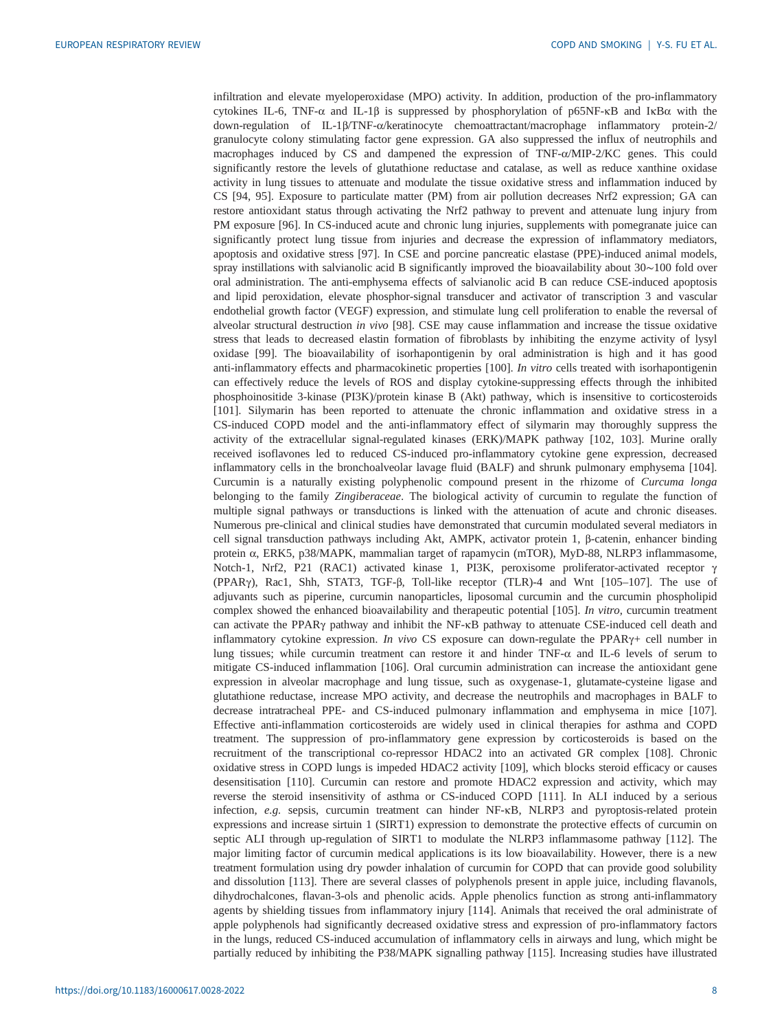infiltration and elevate myeloperoxidase (MPO) activity. In addition, production of the pro-inflammatory cytokines IL-6, TNF- $\alpha$  and IL-1β is suppressed by phosphorylation of p65NF-κB and IκBα with the down-regulation of IL-1β/TNF-α/keratinocyte chemoattractant/macrophage inflammatory protein-2/ granulocyte colony stimulating factor gene expression. GA also suppressed the influx of neutrophils and macrophages induced by CS and dampened the expression of TNF-α/MIP-2/KC genes. This could significantly restore the levels of glutathione reductase and catalase, as well as reduce xanthine oxidase activity in lung tissues to attenuate and modulate the tissue oxidative stress and inflammation induced by CS [\[94](#page-17-0), [95](#page-18-0)]. Exposure to particulate matter (PM) from air pollution decreases Nrf2 expression; GA can restore antioxidant status through activating the Nrf2 pathway to prevent and attenuate lung injury from PM exposure [[96\]](#page-18-0). In CS-induced acute and chronic lung injuries, supplements with pomegranate juice can significantly protect lung tissue from injuries and decrease the expression of inflammatory mediators, apoptosis and oxidative stress [[97\]](#page-18-0). In CSE and porcine pancreatic elastase (PPE)-induced animal models, spray instillations with salvianolic acid B significantly improved the bioavailability about 30∼100 fold over oral administration. The anti-emphysema effects of salvianolic acid B can reduce CSE-induced apoptosis and lipid peroxidation, elevate phosphor-signal transducer and activator of transcription 3 and vascular endothelial growth factor (VEGF) expression, and stimulate lung cell proliferation to enable the reversal of alveolar structural destruction in vivo [[98\]](#page-18-0). CSE may cause inflammation and increase the tissue oxidative stress that leads to decreased elastin formation of fibroblasts by inhibiting the enzyme activity of lysyl oxidase [[99\]](#page-18-0). The bioavailability of isorhapontigenin by oral administration is high and it has good anti-inflammatory effects and pharmacokinetic properties [\[100\]](#page-18-0). In vitro cells treated with isorhapontigenin can effectively reduce the levels of ROS and display cytokine-suppressing effects through the inhibited phosphoinositide 3-kinase (PI3K)/protein kinase B (Akt) pathway, which is insensitive to corticosteroids [\[101\]](#page-18-0). Silymarin has been reported to attenuate the chronic inflammation and oxidative stress in a CS-induced COPD model and the anti-inflammatory effect of silymarin may thoroughly suppress the activity of the extracellular signal-regulated kinases (ERK)/MAPK pathway [[102](#page-18-0), [103\]](#page-18-0). Murine orally received isoflavones led to reduced CS-induced pro-inflammatory cytokine gene expression, decreased inflammatory cells in the bronchoalveolar lavage fluid (BALF) and shrunk pulmonary emphysema [\[104\]](#page-18-0). Curcumin is a naturally existing polyphenolic compound present in the rhizome of Curcuma longa belonging to the family Zingiberaceae. The biological activity of curcumin to regulate the function of multiple signal pathways or transductions is linked with the attenuation of acute and chronic diseases. Numerous pre-clinical and clinical studies have demonstrated that curcumin modulated several mediators in cell signal transduction pathways including Akt, AMPK, activator protein 1, β-catenin, enhancer binding protein α, ERK5, p38/MAPK, mammalian target of rapamycin (mTOR), MyD-88, NLRP3 inflammasome, Notch-1, Nrf2, P21 (RAC1) activated kinase 1, PI3K, peroxisome proliferator-activated receptor γ (PPARγ), Rac1, Shh, STAT3, TGF-β, Toll-like receptor (TLR)-4 and Wnt [\[105](#page-18-0)–[107\]](#page-18-0). The use of adjuvants such as piperine, curcumin nanoparticles, liposomal curcumin and the curcumin phospholipid complex showed the enhanced bioavailability and therapeutic potential [[105](#page-18-0)]. In vitro, curcumin treatment can activate the PPARγ pathway and inhibit the NF-κB pathway to attenuate CSE-induced cell death and inflammatory cytokine expression. In vivo CS exposure can down-regulate the PPAR $\gamma$ + cell number in lung tissues; while curcumin treatment can restore it and hinder TNF- $\alpha$  and IL-6 levels of serum to mitigate CS-induced inflammation [[106](#page-18-0)]. Oral curcumin administration can increase the antioxidant gene expression in alveolar macrophage and lung tissue, such as oxygenase-1, glutamate-cysteine ligase and glutathione reductase, increase MPO activity, and decrease the neutrophils and macrophages in BALF to decrease intratracheal PPE- and CS-induced pulmonary inflammation and emphysema in mice [\[107\]](#page-18-0). Effective anti-inflammation corticosteroids are widely used in clinical therapies for asthma and COPD treatment. The suppression of pro-inflammatory gene expression by corticosteroids is based on the recruitment of the transcriptional co-repressor HDAC2 into an activated GR complex [[108](#page-18-0)]. Chronic oxidative stress in COPD lungs is impeded HDAC2 activity [[109](#page-18-0)], which blocks steroid efficacy or causes desensitisation [\[110\]](#page-18-0). Curcumin can restore and promote HDAC2 expression and activity, which may reverse the steroid insensitivity of asthma or CS-induced COPD [[111](#page-18-0)]. In ALI induced by a serious infection, e.g. sepsis, curcumin treatment can hinder NF-KB, NLRP3 and pyroptosis-related protein expressions and increase sirtuin 1 (SIRT1) expression to demonstrate the protective effects of curcumin on septic ALI through up-regulation of SIRT1 to modulate the NLRP3 inflammasome pathway [\[112\]](#page-18-0). The major limiting factor of curcumin medical applications is its low bioavailability. However, there is a new treatment formulation using dry powder inhalation of curcumin for COPD that can provide good solubility and dissolution [[113](#page-18-0)]. There are several classes of polyphenols present in apple juice, including flavanols, dihydrochalcones, flavan-3-ols and phenolic acids. Apple phenolics function as strong anti-inflammatory agents by shielding tissues from inflammatory injury [[114](#page-18-0)]. Animals that received the oral administrate of apple polyphenols had significantly decreased oxidative stress and expression of pro-inflammatory factors in the lungs, reduced CS-induced accumulation of inflammatory cells in airways and lung, which might be partially reduced by inhibiting the P38/MAPK signalling pathway [[115](#page-18-0)]. Increasing studies have illustrated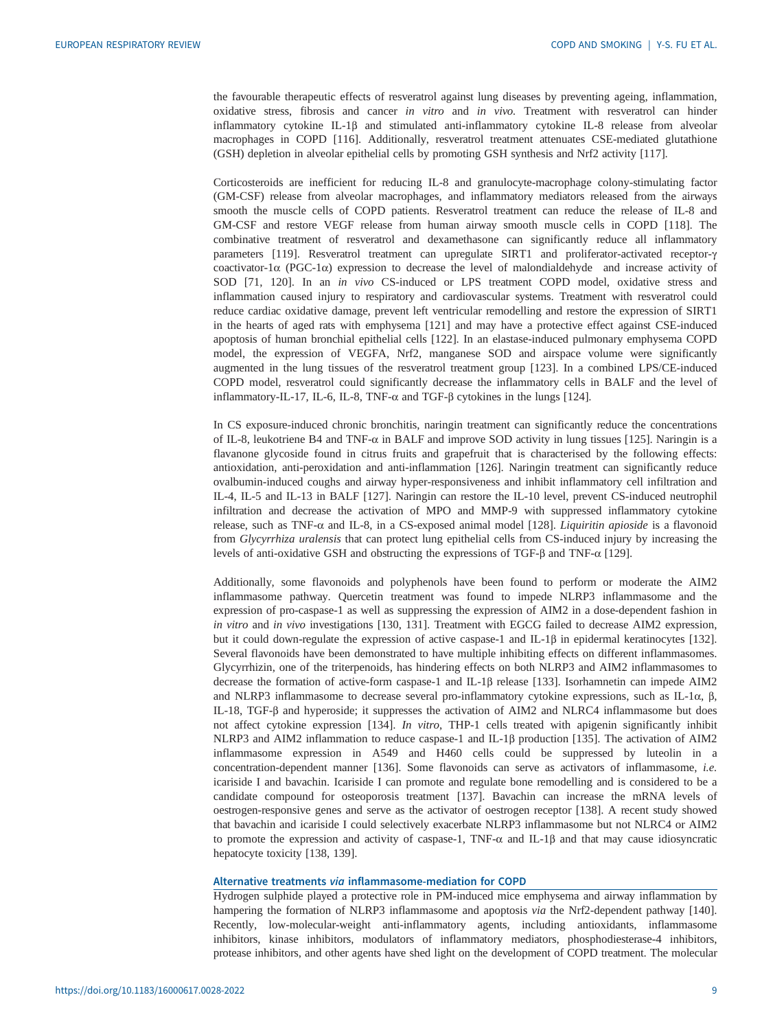the favourable therapeutic effects of resveratrol against lung diseases by preventing ageing, inflammation, oxidative stress, fibrosis and cancer in vitro and in vivo. Treatment with resveratrol can hinder inflammatory cytokine IL-1β and stimulated anti-inflammatory cytokine IL-8 release from alveolar macrophages in COPD [[116](#page-18-0)]. Additionally, resveratrol treatment attenuates CSE-mediated glutathione (GSH) depletion in alveolar epithelial cells by promoting GSH synthesis and Nrf2 activity [\[117\]](#page-18-0).

Corticosteroids are inefficient for reducing IL-8 and granulocyte-macrophage colony-stimulating factor (GM-CSF) release from alveolar macrophages, and inflammatory mediators released from the airways smooth the muscle cells of COPD patients. Resveratrol treatment can reduce the release of IL-8 and GM-CSF and restore VEGF release from human airway smooth muscle cells in COPD [\[118\]](#page-18-0). The combinative treatment of resveratrol and dexamethasone can significantly reduce all inflammatory parameters [[119](#page-18-0)]. Resveratrol treatment can upregulate SIRT1 and proliferator-activated receptor-γ coactivator-1α (PGC-1α) expression to decrease the level of malondialdehyde and increase activity of SOD [\[71](#page-17-0), [120\]](#page-18-0). In an in vivo CS-induced or LPS treatment COPD model, oxidative stress and inflammation caused injury to respiratory and cardiovascular systems. Treatment with resveratrol could reduce cardiac oxidative damage, prevent left ventricular remodelling and restore the expression of SIRT1 in the hearts of aged rats with emphysema [[121](#page-18-0)] and may have a protective effect against CSE-induced apoptosis of human bronchial epithelial cells [\[122\]](#page-19-0). In an elastase-induced pulmonary emphysema COPD model, the expression of VEGFA, Nrf2, manganese SOD and airspace volume were significantly augmented in the lung tissues of the resveratrol treatment group [[123](#page-19-0)]. In a combined LPS/CE-induced COPD model, resveratrol could significantly decrease the inflammatory cells in BALF and the level of inflammatory-IL-17, IL-6, IL-8, TNF- $\alpha$  and TGF-β cytokines in the lungs [\[124\]](#page-19-0).

In CS exposure-induced chronic bronchitis, naringin treatment can significantly reduce the concentrations of IL-8, leukotriene B4 and TNF-α in BALF and improve SOD activity in lung tissues [\[125\]](#page-19-0). Naringin is a flavanone glycoside found in citrus fruits and grapefruit that is characterised by the following effects: antioxidation, anti-peroxidation and anti-inflammation [[126](#page-19-0)]. Naringin treatment can significantly reduce ovalbumin-induced coughs and airway hyper-responsiveness and inhibit inflammatory cell infiltration and IL-4, IL-5 and IL-13 in BALF [[127](#page-19-0)]. Naringin can restore the IL-10 level, prevent CS-induced neutrophil infiltration and decrease the activation of MPO and MMP-9 with suppressed inflammatory cytokine release, such as TNF- $\alpha$  and IL-8, in a CS-exposed animal model [[128](#page-19-0)]. *Liquiritin apioside* is a flavonoid from Glycyrrhiza uralensis that can protect lung epithelial cells from CS-induced injury by increasing the levels of anti-oxidative GSH and obstructing the expressions of TGF-β and TNF-α [[129](#page-19-0)].

Additionally, some flavonoids and polyphenols have been found to perform or moderate the AIM2 inflammasome pathway. Quercetin treatment was found to impede NLRP3 inflammasome and the expression of pro-caspase-1 as well as suppressing the expression of AIM2 in a dose-dependent fashion in in vitro and in vivo investigations [[130](#page-19-0), [131](#page-19-0)]. Treatment with EGCG failed to decrease AIM2 expression, but it could down-regulate the expression of active caspase-1 and IL-1β in epidermal keratinocytes [\[132\]](#page-19-0). Several flavonoids have been demonstrated to have multiple inhibiting effects on different inflammasomes. Glycyrrhizin, one of the triterpenoids, has hindering effects on both NLRP3 and AIM2 inflammasomes to decrease the formation of active-form caspase-1 and IL-1β release [[133](#page-19-0)]. Isorhamnetin can impede AIM2 and NLRP3 inflammasome to decrease several pro-inflammatory cytokine expressions, such as IL-1α, β, IL-18, TGF-β and hyperoside; it suppresses the activation of AIM2 and NLRC4 inflammasome but does not affect cytokine expression [\[134\]](#page-19-0). In vitro, THP-1 cells treated with apigenin significantly inhibit NLRP3 and AIM2 inflammation to reduce caspase-1 and IL-1β production [\[135\]](#page-19-0). The activation of AIM2 inflammasome expression in A549 and H460 cells could be suppressed by luteolin in a concentration-dependent manner [[136](#page-19-0)]. Some flavonoids can serve as activators of inflammasome, i.e. icariside I and bavachin. Icariside I can promote and regulate bone remodelling and is considered to be a candidate compound for osteoporosis treatment [\[137\]](#page-19-0). Bavachin can increase the mRNA levels of oestrogen-responsive genes and serve as the activator of oestrogen receptor [[138](#page-19-0)]. A recent study showed that bavachin and icariside I could selectively exacerbate NLRP3 inflammasome but not NLRC4 or AIM2 to promote the expression and activity of caspase-1, TNF-α and IL-1β and that may cause idiosyncratic hepatocyte toxicity [\[138, 139](#page-19-0)].

## Alternative treatments via inflammasome-mediation for COPD

Hydrogen sulphide played a protective role in PM-induced mice emphysema and airway inflammation by hampering the formation of NLRP3 inflammasome and apoptosis via the Nrf2-dependent pathway [\[140\]](#page-19-0). Recently, low-molecular-weight anti-inflammatory agents, including antioxidants, inflammasome inhibitors, kinase inhibitors, modulators of inflammatory mediators, phosphodiesterase-4 inhibitors, protease inhibitors, and other agents have shed light on the development of COPD treatment. The molecular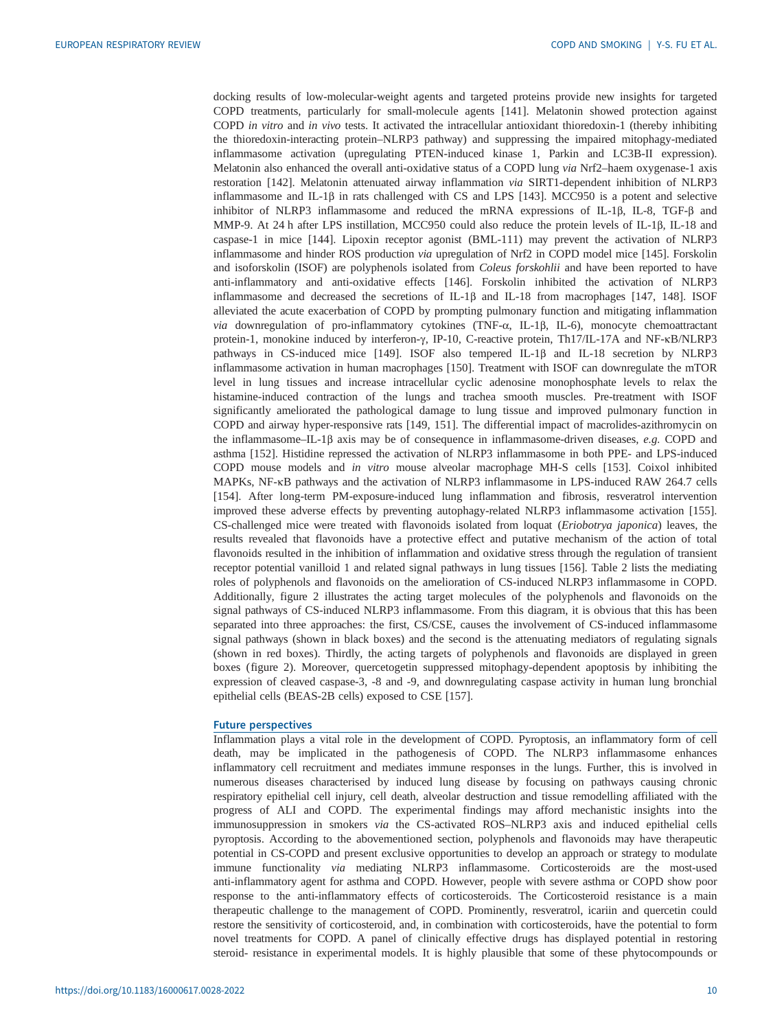docking results of low-molecular-weight agents and targeted proteins provide new insights for targeted COPD treatments, particularly for small-molecule agents [\[141\]](#page-19-0). Melatonin showed protection against COPD in vitro and in vivo tests. It activated the intracellular antioxidant thioredoxin-1 (thereby inhibiting the thioredoxin-interacting protein–NLRP3 pathway) and suppressing the impaired mitophagy-mediated inflammasome activation (upregulating PTEN-induced kinase 1, Parkin and LC3B-II expression). Melatonin also enhanced the overall anti-oxidative status of a COPD lung via Nrf2–haem oxygenase-1 axis restoration [[142](#page-19-0)]. Melatonin attenuated airway inflammation via SIRT1-dependent inhibition of NLRP3 inflammasome and IL-1β in rats challenged with CS and LPS [[143](#page-19-0)]. MCC950 is a potent and selective inhibitor of NLRP3 inflammasome and reduced the mRNA expressions of IL-1β, IL-8, TGF-β and MMP-9. At 24 h after LPS instillation, MCC950 could also reduce the protein levels of IL-1β, IL-18 and caspase-1 in mice [\[144\]](#page-19-0). Lipoxin receptor agonist (BML-111) may prevent the activation of NLRP3 inflammasome and hinder ROS production via upregulation of Nrf2 in COPD model mice [\[145\]](#page-19-0). Forskolin and isoforskolin (ISOF) are polyphenols isolated from Coleus forskohlii and have been reported to have anti-inflammatory and anti-oxidative effects [[146](#page-19-0)]. Forskolin inhibited the activation of NLRP3 inflammasome and decreased the secretions of IL-1β and IL-18 from macrophages [[147](#page-19-0), [148\]](#page-19-0). ISOF alleviated the acute exacerbation of COPD by prompting pulmonary function and mitigating inflammation via downregulation of pro-inflammatory cytokines (TNF-α, IL-1β, IL-6), monocyte chemoattractant protein-1, monokine induced by interferon-γ, IP-10, C-reactive protein, Th17/IL-17A and NF-κB/NLRP3 pathways in CS-induced mice [\[149\]](#page-20-0). ISOF also tempered IL-1β and IL-18 secretion by NLRP3 inflammasome activation in human macrophages [\[150\]](#page-20-0). Treatment with ISOF can downregulate the mTOR level in lung tissues and increase intracellular cyclic adenosine monophosphate levels to relax the histamine-induced contraction of the lungs and trachea smooth muscles. Pre-treatment with ISOF significantly ameliorated the pathological damage to lung tissue and improved pulmonary function in COPD and airway hyper-responsive rats [\[149](#page-20-0), [151](#page-20-0)]. The differential impact of macrolides-azithromycin on the inflammasome–IL-1 $\beta$  axis may be of consequence in inflammasome-driven diseases, e.g. COPD and asthma [[152](#page-20-0)]. Histidine repressed the activation of NLRP3 inflammasome in both PPE- and LPS-induced COPD mouse models and in vitro mouse alveolar macrophage MH-S cells [[153](#page-20-0)]. Coixol inhibited MAPKs, NF- $\kappa$ B pathways and the activation of NLRP3 inflammasome in LPS-induced RAW 264.7 cells [\[154\]](#page-20-0). After long-term PM-exposure-induced lung inflammation and fibrosis, resveratrol intervention improved these adverse effects by preventing autophagy-related NLRP3 inflammasome activation [\[155\]](#page-20-0). CS-challenged mice were treated with flavonoids isolated from loquat (Eriobotrya japonica) leaves, the results revealed that flavonoids have a protective effect and putative mechanism of the action of total flavonoids resulted in the inhibition of inflammation and oxidative stress through the regulation of transient receptor potential vanilloid 1 and related signal pathways in lung tissues [\[156\]](#page-20-0). [Table 2](#page-10-0) lists the mediating roles of polyphenols and flavonoids on the amelioration of CS-induced NLRP3 inflammasome in COPD. Additionally, [figure 2](#page-13-0) illustrates the acting target molecules of the polyphenols and flavonoids on the signal pathways of CS-induced NLRP3 inflammasome. From this diagram, it is obvious that this has been separated into three approaches: the first, CS/CSE, causes the involvement of CS-induced inflammasome signal pathways (shown in black boxes) and the second is the attenuating mediators of regulating signals (shown in red boxes). Thirdly, the acting targets of polyphenols and flavonoids are displayed in green boxes ([figure 2](#page-13-0)). Moreover, quercetogetin suppressed mitophagy-dependent apoptosis by inhibiting the expression of cleaved caspase-3, -8 and -9, and downregulating caspase activity in human lung bronchial epithelial cells (BEAS-2B cells) exposed to CSE [\[157\]](#page-20-0).

## Future perspectives

Inflammation plays a vital role in the development of COPD. Pyroptosis, an inflammatory form of cell death, may be implicated in the pathogenesis of COPD. The NLRP3 inflammasome enhances inflammatory cell recruitment and mediates immune responses in the lungs. Further, this is involved in numerous diseases characterised by induced lung disease by focusing on pathways causing chronic respiratory epithelial cell injury, cell death, alveolar destruction and tissue remodelling affiliated with the progress of ALI and COPD. The experimental findings may afford mechanistic insights into the immunosuppression in smokers via the CS-activated ROS–NLRP3 axis and induced epithelial cells pyroptosis. According to the abovementioned section, polyphenols and flavonoids may have therapeutic potential in CS-COPD and present exclusive opportunities to develop an approach or strategy to modulate immune functionality via mediating NLRP3 inflammasome. Corticosteroids are the most-used anti-inflammatory agent for asthma and COPD. However, people with severe asthma or COPD show poor response to the anti-inflammatory effects of corticosteroids. The Corticosteroid resistance is a main therapeutic challenge to the management of COPD. Prominently, resveratrol, icariin and quercetin could restore the sensitivity of corticosteroid, and, in combination with corticosteroids, have the potential to form novel treatments for COPD. A panel of clinically effective drugs has displayed potential in restoring steroid- resistance in experimental models. It is highly plausible that some of these phytocompounds or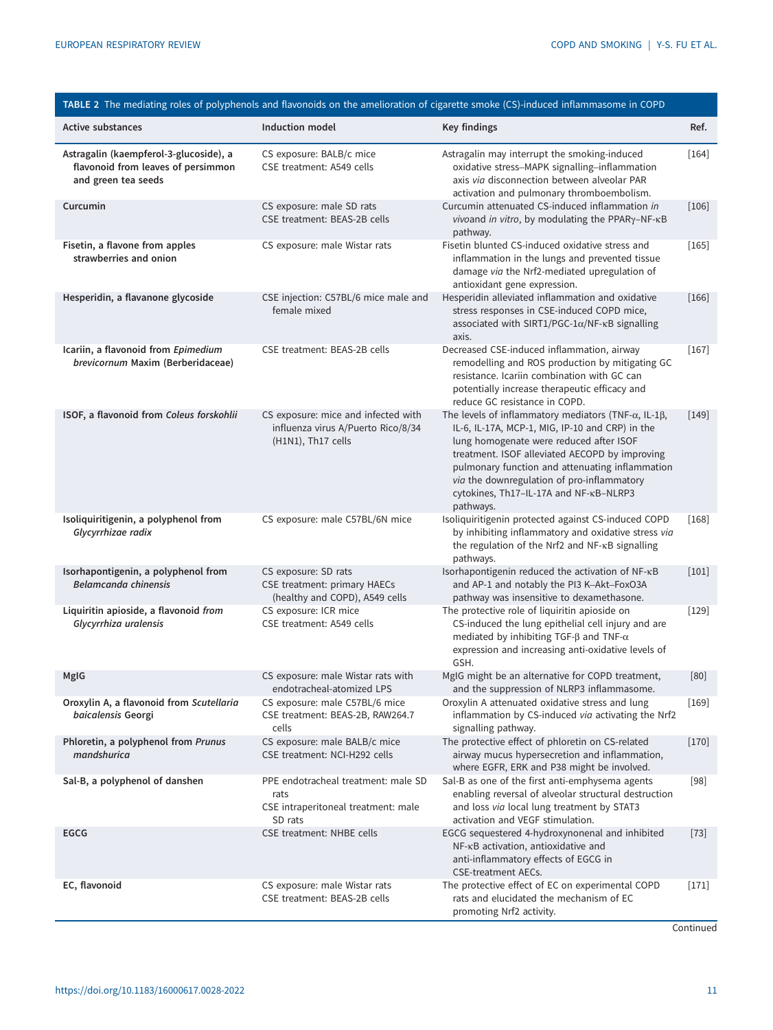<span id="page-10-0"></span>

|                                                                                                     |                                                                                                 | TABLE 2 The mediating roles of polyphenols and flavonoids on the amelioration of cigarette smoke (CS)-induced inflammasome in COPD                                                                                                                                                                                                                                           |         |
|-----------------------------------------------------------------------------------------------------|-------------------------------------------------------------------------------------------------|------------------------------------------------------------------------------------------------------------------------------------------------------------------------------------------------------------------------------------------------------------------------------------------------------------------------------------------------------------------------------|---------|
| <b>Active substances</b>                                                                            | <b>Induction model</b>                                                                          | Key findings                                                                                                                                                                                                                                                                                                                                                                 | Ref.    |
| Astragalin (kaempferol-3-glucoside), a<br>flavonoid from leaves of persimmon<br>and green tea seeds | CS exposure: BALB/c mice<br>CSE treatment: A549 cells                                           | Astragalin may interrupt the smoking-induced<br>oxidative stress-MAPK signalling-inflammation<br>axis via disconnection between alveolar PAR<br>activation and pulmonary thromboembolism.                                                                                                                                                                                    | $[164]$ |
| Curcumin                                                                                            | CS exposure: male SD rats<br>CSE treatment: BEAS-2B cells                                       | Curcumin attenuated CS-induced inflammation in<br>vivoand in vitro, by modulating the PPARγ-NF-κB<br>pathway.                                                                                                                                                                                                                                                                | $[106]$ |
| Fisetin, a flavone from apples<br>strawberries and onion                                            | CS exposure: male Wistar rats                                                                   | Fisetin blunted CS-induced oxidative stress and<br>inflammation in the lungs and prevented tissue<br>damage via the Nrf2-mediated upregulation of<br>antioxidant gene expression.                                                                                                                                                                                            | $[165]$ |
| Hesperidin, a flavanone glycoside                                                                   | CSE injection: C57BL/6 mice male and<br>female mixed                                            | Hesperidin alleviated inflammation and oxidative<br>stress responses in CSE-induced COPD mice,<br>associated with SIRT1/PGC-1 $\alpha$ /NF- $\kappa$ B signalling<br>axis.                                                                                                                                                                                                   | $[166]$ |
| Icariin, a flavonoid from Epimedium<br>brevicornum Maxim (Berberidaceae)                            | CSE treatment: BEAS-2B cells                                                                    | Decreased CSE-induced inflammation, airway<br>remodelling and ROS production by mitigating GC<br>resistance. Icariin combination with GC can<br>potentially increase therapeutic efficacy and<br>reduce GC resistance in COPD.                                                                                                                                               | $[167]$ |
| ISOF, a flavonoid from Coleus forskohlii                                                            | CS exposure: mice and infected with<br>influenza virus A/Puerto Rico/8/34<br>(H1N1), Th17 cells | The levels of inflammatory mediators (TNF- $\alpha$ , IL-1 $\beta$ ,<br>IL-6, IL-17A, MCP-1, MIG, IP-10 and CRP) in the<br>lung homogenate were reduced after ISOF<br>treatment. ISOF alleviated AECOPD by improving<br>pulmonary function and attenuating inflammation<br>via the downregulation of pro-inflammatory<br>cytokines, Th17-IL-17A and NF-KB-NLRP3<br>pathways. | $[149]$ |
| Isoliquiritigenin, a polyphenol from<br>Glycyrrhizae radix                                          | CS exposure: male C57BL/6N mice                                                                 | Isoliquiritigenin protected against CS-induced COPD<br>by inhibiting inflammatory and oxidative stress via<br>the regulation of the Nrf2 and NF-KB signalling<br>pathways.                                                                                                                                                                                                   | $[168]$ |
| Isorhapontigenin, a polyphenol from<br><b>Belamcanda chinensis</b>                                  | CS exposure: SD rats<br>CSE treatment: primary HAECs<br>(healthy and COPD), A549 cells          | Isorhapontigenin reduced the activation of NF-KB<br>and AP-1 and notably the PI3 K-Akt-FoxO3A<br>pathway was insensitive to dexamethasone.                                                                                                                                                                                                                                   | $[101]$ |
| Liquiritin apioside, a flavonoid from<br>Glycyrrhiza uralensis                                      | CS exposure: ICR mice<br>CSE treatment: A549 cells                                              | The protective role of liquiritin apioside on<br>CS-induced the lung epithelial cell injury and are<br>mediated by inhibiting TGF- $\beta$ and TNF- $\alpha$<br>expression and increasing anti-oxidative levels of<br>GSH.                                                                                                                                                   | $[129]$ |
| MgIG                                                                                                | CS exposure: male Wistar rats with<br>endotracheal-atomized LPS                                 | MgIG might be an alternative for COPD treatment,<br>and the suppression of NLRP3 inflammasome.                                                                                                                                                                                                                                                                               | [80]    |
| Oroxylin A, a flavonoid from Scutellaria<br>baicalensis Georgi                                      | CS exposure: male C57BL/6 mice<br>CSE treatment: BEAS-2B, RAW264.7<br>cells                     | Oroxylin A attenuated oxidative stress and lung<br>inflammation by CS-induced via activating the Nrf2<br>signalling pathway.                                                                                                                                                                                                                                                 | $[169]$ |
| Phloretin, a polyphenol from Prunus<br>mandshurica                                                  | CS exposure: male BALB/c mice<br>CSE treatment: NCI-H292 cells                                  | The protective effect of phloretin on CS-related<br>airway mucus hypersecretion and inflammation,<br>where EGFR, ERK and P38 might be involved.                                                                                                                                                                                                                              | $[170]$ |
| Sal-B, a polyphenol of danshen                                                                      | PPE endotracheal treatment: male SD<br>rats<br>CSE intraperitoneal treatment: male<br>SD rats   | Sal-B as one of the first anti-emphysema agents<br>enabling reversal of alveolar structural destruction<br>and loss via local lung treatment by STAT3<br>activation and VEGF stimulation.                                                                                                                                                                                    | $[98]$  |
| EGCG                                                                                                | <b>CSE treatment: NHBE cells</b>                                                                | EGCG sequestered 4-hydroxynonenal and inhibited<br>NF-KB activation, antioxidative and<br>anti-inflammatory effects of EGCG in<br><b>CSE-treatment AECs.</b>                                                                                                                                                                                                                 | $[73]$  |
| EC, flavonoid                                                                                       | CS exposure: male Wistar rats<br>CSE treatment: BEAS-2B cells                                   | The protective effect of EC on experimental COPD<br>rats and elucidated the mechanism of EC<br>promoting Nrf2 activity.                                                                                                                                                                                                                                                      | $[171]$ |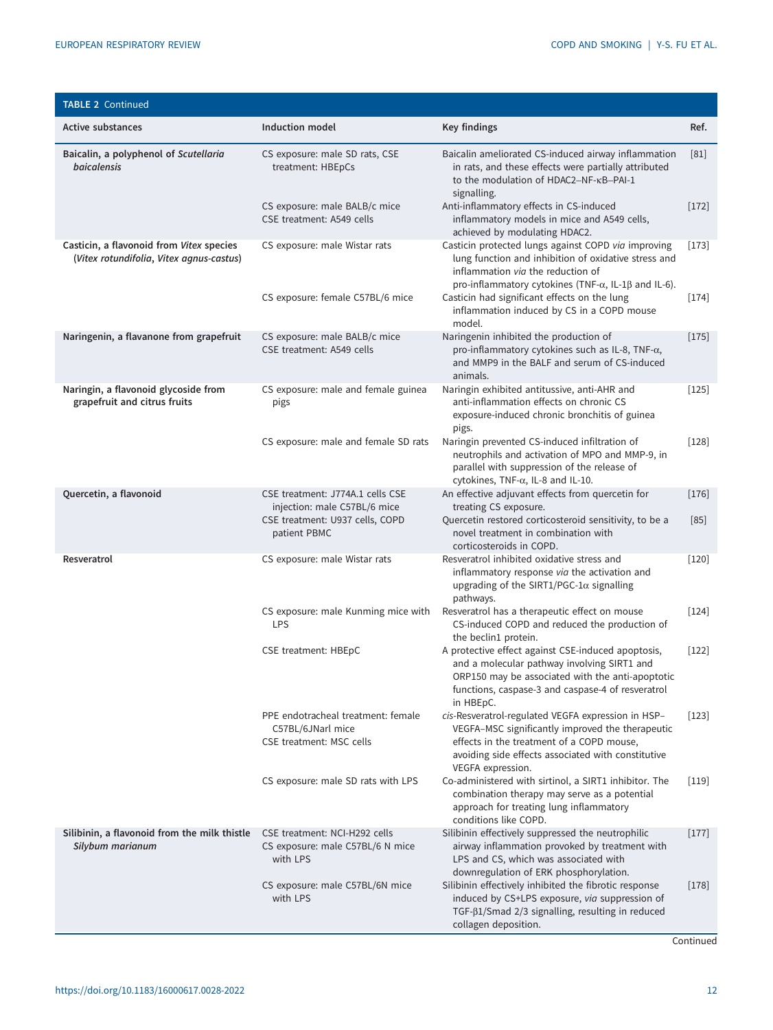| <b>TABLE 2 Continued</b>                                                             |                                                                                     |                                                                                                                                                                                                                                |         |
|--------------------------------------------------------------------------------------|-------------------------------------------------------------------------------------|--------------------------------------------------------------------------------------------------------------------------------------------------------------------------------------------------------------------------------|---------|
| <b>Active substances</b>                                                             | Induction model                                                                     | Key findings                                                                                                                                                                                                                   | Ref.    |
| Baicalin, a polyphenol of Scutellaria<br><b>baicalensis</b>                          | CS exposure: male SD rats, CSE<br>treatment: HBEpCs                                 | Baicalin ameliorated CS-induced airway inflammation<br>in rats, and these effects were partially attributed<br>to the modulation of HDAC2-NF-KB-PAI-1<br>signalling.                                                           | [81]    |
|                                                                                      | CS exposure: male BALB/c mice<br>CSE treatment: A549 cells                          | Anti-inflammatory effects in CS-induced<br>inflammatory models in mice and A549 cells,<br>achieved by modulating HDAC2.                                                                                                        | $[172]$ |
| Casticin, a flavonoid from Vitex species<br>(Vitex rotundifolia, Vitex agnus-castus) | CS exposure: male Wistar rats                                                       | Casticin protected lungs against COPD via improving<br>lung function and inhibition of oxidative stress and<br>inflammation via the reduction of<br>pro-inflammatory cytokines (TNF- $\alpha$ , IL-1 $\beta$ and IL-6).        | $[173]$ |
|                                                                                      | CS exposure: female C57BL/6 mice                                                    | Casticin had significant effects on the lung<br>inflammation induced by CS in a COPD mouse<br>model.                                                                                                                           | $[174]$ |
| Naringenin, a flavanone from grapefruit                                              | CS exposure: male BALB/c mice<br>CSE treatment: A549 cells                          | Naringenin inhibited the production of<br>pro-inflammatory cytokines such as IL-8, TNF-a,<br>and MMP9 in the BALF and serum of CS-induced<br>animals.                                                                          | $[175]$ |
| Naringin, a flavonoid glycoside from<br>grapefruit and citrus fruits                 | CS exposure: male and female guinea<br>pigs                                         | Naringin exhibited antitussive, anti-AHR and<br>anti-inflammation effects on chronic CS<br>exposure-induced chronic bronchitis of guinea<br>pigs.                                                                              | $[125]$ |
|                                                                                      | CS exposure: male and female SD rats                                                | Naringin prevented CS-induced infiltration of<br>neutrophils and activation of MPO and MMP-9, in<br>parallel with suppression of the release of<br>cytokines, TNF-α, IL-8 and IL-10.                                           | $[128]$ |
| Quercetin, a flavonoid                                                               | CSE treatment: J774A.1 cells CSE<br>injection: male C57BL/6 mice                    | An effective adjuvant effects from quercetin for<br>treating CS exposure.                                                                                                                                                      | $[176]$ |
|                                                                                      | CSE treatment: U937 cells, COPD<br>patient PBMC                                     | Quercetin restored corticosteroid sensitivity, to be a<br>novel treatment in combination with<br>corticosteroids in COPD.                                                                                                      | $[85]$  |
| Resveratrol                                                                          | CS exposure: male Wistar rats                                                       | Resveratrol inhibited oxidative stress and<br>inflammatory response via the activation and<br>upgrading of the SIRT1/PGC-1 $\alpha$ signalling<br>pathways.                                                                    | $[120]$ |
|                                                                                      | CS exposure: male Kunming mice with<br><b>LPS</b>                                   | Resveratrol has a therapeutic effect on mouse<br>CS-induced COPD and reduced the production of<br>the beclin1 protein.                                                                                                         | $[124]$ |
|                                                                                      | <b>CSE treatment: HBEpC</b>                                                         | A protective effect against CSE-induced apoptosis,<br>and a molecular pathway involving SIRT1 and<br>ORP150 may be associated with the anti-apoptotic<br>functions, caspase-3 and caspase-4 of resveratrol<br>in HBEpC.        | $[122]$ |
|                                                                                      | PPE endotracheal treatment: female<br>C57BL/6JNarl mice<br>CSE treatment: MSC cells | cis-Resveratrol-regulated VEGFA expression in HSP-<br>VEGFA-MSC significantly improved the therapeutic<br>effects in the treatment of a COPD mouse,<br>avoiding side effects associated with constitutive<br>VEGFA expression. | $[123]$ |
|                                                                                      | CS exposure: male SD rats with LPS                                                  | Co-administered with sirtinol, a SIRT1 inhibitor. The<br>combination therapy may serve as a potential<br>approach for treating lung inflammatory<br>conditions like COPD.                                                      | $[119]$ |
| Silibinin, a flavonoid from the milk thistle<br>Silybum marianum                     | CSE treatment: NCI-H292 cells<br>CS exposure: male C57BL/6 N mice<br>with LPS       | Silibinin effectively suppressed the neutrophilic<br>airway inflammation provoked by treatment with<br>LPS and CS, which was associated with<br>downregulation of ERK phosphorylation.                                         | $[177]$ |
|                                                                                      | CS exposure: male C57BL/6N mice<br>with LPS                                         | Silibinin effectively inhibited the fibrotic response<br>induced by CS+LPS exposure, via suppression of<br>TGF- $\beta$ 1/Smad 2/3 signalling, resulting in reduced<br>collagen deposition.                                    | $[178]$ |

**Continued**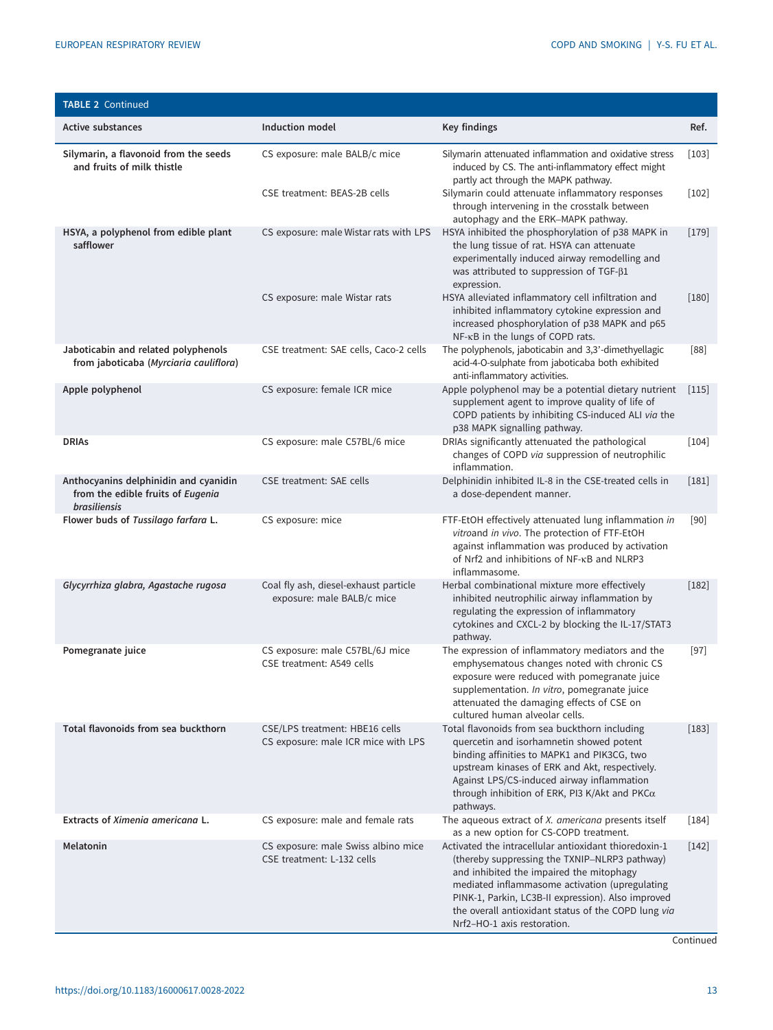| <b>TABLE 2 Continued</b>                                                                          |                                                                       |                                                                                                                                                                                                                                                                                                                                                  |         |
|---------------------------------------------------------------------------------------------------|-----------------------------------------------------------------------|--------------------------------------------------------------------------------------------------------------------------------------------------------------------------------------------------------------------------------------------------------------------------------------------------------------------------------------------------|---------|
| <b>Active substances</b>                                                                          | <b>Induction model</b>                                                | Key findings                                                                                                                                                                                                                                                                                                                                     | Ref.    |
| Silymarin, a flavonoid from the seeds<br>and fruits of milk thistle                               | CS exposure: male BALB/c mice                                         | Silymarin attenuated inflammation and oxidative stress<br>induced by CS. The anti-inflammatory effect might<br>partly act through the MAPK pathway.                                                                                                                                                                                              | $[103]$ |
|                                                                                                   | CSE treatment: BEAS-2B cells                                          | Silymarin could attenuate inflammatory responses<br>through intervening in the crosstalk between<br>autophagy and the ERK-MAPK pathway.                                                                                                                                                                                                          | $[102]$ |
| HSYA, a polyphenol from edible plant<br>safflower                                                 | CS exposure: male Wistar rats with LPS                                | HSYA inhibited the phosphorylation of p38 MAPK in<br>the lung tissue of rat. HSYA can attenuate<br>experimentally induced airway remodelling and<br>was attributed to suppression of TGF- $\beta$ 1<br>expression.                                                                                                                               | $[179]$ |
|                                                                                                   | CS exposure: male Wistar rats                                         | HSYA alleviated inflammatory cell infiltration and<br>inhibited inflammatory cytokine expression and<br>increased phosphorylation of p38 MAPK and p65<br>NF-KB in the lungs of COPD rats.                                                                                                                                                        | $[180]$ |
| Jaboticabin and related polyphenols<br>from jaboticaba (Myrciaria cauliflora)                     | CSE treatment: SAE cells, Caco-2 cells                                | The polyphenols, jaboticabin and 3,3'-dimethyellagic<br>acid-4-O-sulphate from jaboticaba both exhibited<br>anti-inflammatory activities.                                                                                                                                                                                                        | $[88]$  |
| Apple polyphenol                                                                                  | CS exposure: female ICR mice                                          | Apple polyphenol may be a potential dietary nutrient<br>supplement agent to improve quality of life of<br>COPD patients by inhibiting CS-induced ALI via the<br>p38 MAPK signalling pathway.                                                                                                                                                     | $[115]$ |
| <b>DRIAS</b>                                                                                      | CS exposure: male C57BL/6 mice                                        | DRIAs significantly attenuated the pathological<br>changes of COPD via suppression of neutrophilic<br>inflammation.                                                                                                                                                                                                                              | $[104]$ |
| Anthocyanins delphinidin and cyanidin<br>from the edible fruits of Eugenia<br><b>brasiliensis</b> | CSE treatment: SAE cells                                              | Delphinidin inhibited IL-8 in the CSE-treated cells in<br>a dose-dependent manner.                                                                                                                                                                                                                                                               | $[181]$ |
| Flower buds of Tussilago farfara L.                                                               | CS exposure: mice                                                     | FTF-EtOH effectively attenuated lung inflammation in<br>vitroand in vivo. The protection of FTF-EtOH<br>against inflammation was produced by activation<br>of Nrf2 and inhibitions of NF-KB and NLRP3<br>inflammasome.                                                                                                                           | $[90]$  |
| Glycyrrhiza glabra, Agastache rugosa                                                              | Coal fly ash, diesel-exhaust particle<br>exposure: male BALB/c mice   | Herbal combinational mixture more effectively<br>inhibited neutrophilic airway inflammation by<br>regulating the expression of inflammatory<br>cytokines and CXCL-2 by blocking the IL-17/STAT3<br>pathway.                                                                                                                                      | $[182]$ |
| Pomegranate juice                                                                                 | CS exposure: male C57BL/6J mice<br>CSE treatment: A549 cells          | The expression of inflammatory mediators and the<br>emphysematous changes noted with chronic CS<br>exposure were reduced with pomegranate juice<br>supplementation. In vitro, pomegranate juice<br>attenuated the damaging effects of CSE on<br>cultured human alveolar cells.                                                                   | $[97]$  |
| Total flavonoids from sea buckthorn                                                               | CSE/LPS treatment: HBE16 cells<br>CS exposure: male ICR mice with LPS | Total flavonoids from sea buckthorn including<br>quercetin and isorhamnetin showed potent<br>binding affinities to MAPK1 and PIK3CG, two<br>upstream kinases of ERK and Akt, respectively.<br>Against LPS/CS-induced airway inflammation<br>through inhibition of ERK, PI3 K/Akt and PKC $\alpha$<br>pathways.                                   | $[183]$ |
| Extracts of Ximenia americana L.                                                                  | CS exposure: male and female rats                                     | The aqueous extract of X. americana presents itself<br>as a new option for CS-COPD treatment.                                                                                                                                                                                                                                                    | $[184]$ |
| Melatonin                                                                                         | CS exposure: male Swiss albino mice<br>CSE treatment: L-132 cells     | Activated the intracellular antioxidant thioredoxin-1<br>(thereby suppressing the TXNIP-NLRP3 pathway)<br>and inhibited the impaired the mitophagy<br>mediated inflammasome activation (upregulating<br>PINK-1, Parkin, LC3B-II expression). Also improved<br>the overall antioxidant status of the COPD lung via<br>Nrf2-HO-1 axis restoration. | $[142]$ |

**Continued**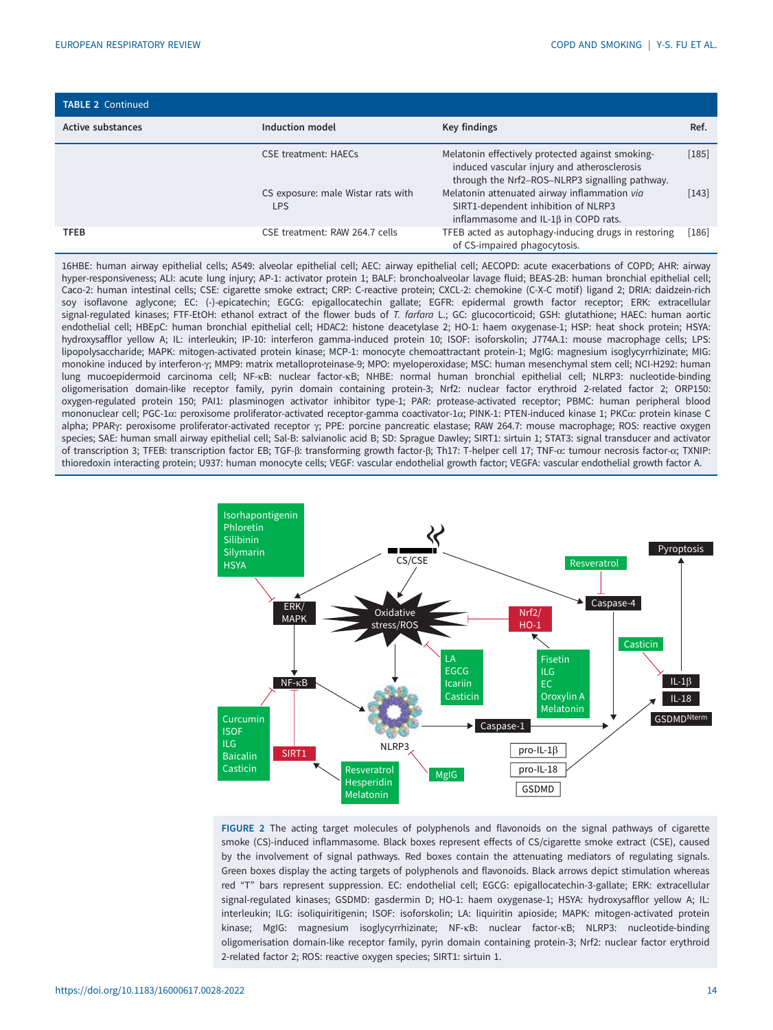<span id="page-13-0"></span>

| <b>TABLE 2 Continued</b> |                                                  |                                                                                                                                                   |         |
|--------------------------|--------------------------------------------------|---------------------------------------------------------------------------------------------------------------------------------------------------|---------|
| <b>Active substances</b> | Induction model                                  | Key findings                                                                                                                                      | Ref.    |
|                          | CSE treatment: HAECs                             | Melatonin effectively protected against smoking-<br>induced vascular injury and atherosclerosis<br>through the Nrf2-ROS-NLRP3 signalling pathway. | $[185]$ |
|                          | CS exposure: male Wistar rats with<br><b>LPS</b> | Melatonin attenuated airway inflammation via<br>SIRT1-dependent inhibition of NLRP3<br>inflammasome and IL-1 $\beta$ in COPD rats.                | $[143]$ |
| <b>TFEB</b>              | CSE treatment: RAW 264.7 cells                   | TFEB acted as autophagy-inducing drugs in restoring<br>of CS-impaired phagocytosis.                                                               | $[186]$ |

16HBE: human airway epithelial cells; A549: alveolar epithelial cell; AEC: airway epithelial cell; AECOPD: acute exacerbations of COPD; AHR: airway hyper-responsiveness; ALI: acute lung injury; AP-1: activator protein 1; BALF: bronchoalveolar lavage fluid; BEAS-2B: human bronchial epithelial cell; Caco-2: human intestinal cells; CSE: cigarette smoke extract; CRP: C-reactive protein; CXCL-2: chemokine (C-X-C motif) ligand 2; DRIA: daidzein-rich soy isoflavone aglycone; EC: (-)-epicatechin; EGCG: epigallocatechin gallate; EGFR: epidermal growth factor receptor; ERK: extracellular signal-regulated kinases; FTF-EtOH: ethanol extract of the flower buds of T. farfara L.; GC: glucocorticoid; GSH: glutathione; HAEC: human aortic endothelial cell; HBEpC: human bronchial epithelial cell; HDAC2: histone deacetylase 2; HO-1: haem oxygenase-1; HSP: heat shock protein; HSYA: hydroxysafflor yellow A; IL: interleukin; IP-10: interferon gamma-induced protein 10; ISOF: isoforskolin; J774A.1: mouse macrophage cells; LPS: lipopolysaccharide; MAPK: mitogen-activated protein kinase; MCP-1: monocyte chemoattractant protein-1; MgIG: magnesium isoglycyrrhizinate; MIG: monokine induced by interferon-γ; MMP9: matrix metalloproteinase-9; MPO: myeloperoxidase; MSC: human mesenchymal stem cell; NCI-H292: human lung mucoepidermoid carcinoma cell; NF-κB: nuclear factor-κB; NHBE: normal human bronchial epithelial cell; NLRP3: nucleotide-binding oligomerisation domain-like receptor family, pyrin domain containing protein-3; Nrf2: nuclear factor erythroid 2-related factor 2; ORP150: oxygen-regulated protein 150; PAI1: plasminogen activator inhibitor type-1; PAR: protease-activated receptor; PBMC: human peripheral blood mononuclear cell; PGC-1α: peroxisome proliferator-activated receptor-gamma coactivator-1α; PINK-1: PTEN-induced kinase 1; PKCα: protein kinase C alpha; PPARγ: peroxisome proliferator-activated receptor γ; PPE: porcine pancreatic elastase; RAW 264.7: mouse macrophage; ROS: reactive oxygen species; SAE: human small airway epithelial cell; Sal-B: salvianolic acid B; SD: Sprague Dawley; SIRT1: sirtuin 1; STAT3: signal transducer and activator of transcription 3; TFEB: transcription factor EB; TGF-β: transforming growth factor-β; Th17: T-helper cell 17; TNF-α: tumour necrosis factor-α; TXNIP: thioredoxin interacting protein; U937: human monocyte cells; VEGF: vascular endothelial growth factor; VEGFA: vascular endothelial growth factor A.



FIGURE 2 The acting target molecules of polyphenols and flavonoids on the signal pathways of cigarette smoke (CS)-induced inflammasome. Black boxes represent effects of CS/cigarette smoke extract (CSE), caused by the involvement of signal pathways. Red boxes contain the attenuating mediators of regulating signals. Green boxes display the acting targets of polyphenols and flavonoids. Black arrows depict stimulation whereas red "T" bars represent suppression. EC: endothelial cell; EGCG: epigallocatechin-3-gallate; ERK: extracellular signal-regulated kinases; GSDMD: gasdermin D; HO-1: haem oxygenase-1; HSYA: hydroxysafflor yellow A; IL: interleukin; ILG: isoliquiritigenin; ISOF: isoforskolin; LA: liquiritin apioside; MAPK: mitogen-activated protein kinase; MgIG: magnesium isoglycyrrhizinate; NF-κB: nuclear factor-κB; NLRP3: nucleotide-binding oligomerisation domain-like receptor family, pyrin domain containing protein-3; Nrf2: nuclear factor erythroid 2-related factor 2; ROS: reactive oxygen species; SIRT1: sirtuin 1.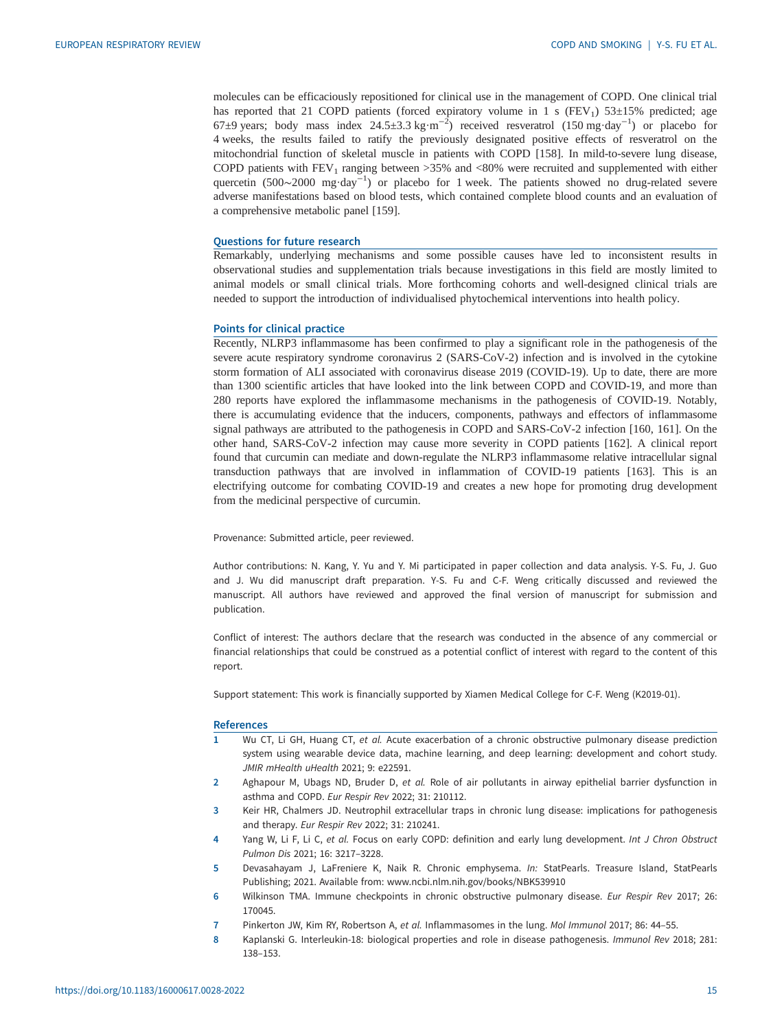<span id="page-14-0"></span>molecules can be efficaciously repositioned for clinical use in the management of COPD. One clinical trial has reported that 21 COPD patients (forced expiratory volume in 1 s  $(FEV<sub>1</sub>)$  53±15% predicted; age 67±9 years; body mass index 24.5±3.3 kg·m<sup>-2</sup>) received resveratrol (150 mg·day<sup>-1</sup>) or placebo for 4 weeks, the results failed to ratify the previously designated positive effects of resveratrol on the mitochondrial function of skeletal muscle in patients with COPD [[158](#page-20-0)]. In mild-to-severe lung disease, COPD patients with  $FEV_1$  ranging between >35% and <80% were recruited and supplemented with either quercetin (500∼2000 mg·day<sup>-1</sup>) or placebo for 1 week. The patients showed no drug-related severe adverse manifestations based on blood tests, which contained complete blood counts and an evaluation of a comprehensive metabolic panel [[159](#page-20-0)].

## Questions for future research

Remarkably, underlying mechanisms and some possible causes have led to inconsistent results in observational studies and supplementation trials because investigations in this field are mostly limited to animal models or small clinical trials. More forthcoming cohorts and well-designed clinical trials are needed to support the introduction of individualised phytochemical interventions into health policy.

#### Points for clinical practice

Recently, NLRP3 inflammasome has been confirmed to play a significant role in the pathogenesis of the severe acute respiratory syndrome coronavirus 2 (SARS-CoV-2) infection and is involved in the cytokine storm formation of ALI associated with coronavirus disease 2019 (COVID-19). Up to date, there are more than 1300 scientific articles that have looked into the link between COPD and COVID-19, and more than 280 reports have explored the inflammasome mechanisms in the pathogenesis of COVID-19. Notably, there is accumulating evidence that the inducers, components, pathways and effectors of inflammasome signal pathways are attributed to the pathogenesis in COPD and SARS-CoV-2 infection [\[160, 161](#page-20-0)]. On the other hand, SARS-CoV-2 infection may cause more severity in COPD patients [[162](#page-20-0)]. A clinical report found that curcumin can mediate and down-regulate the NLRP3 inflammasome relative intracellular signal transduction pathways that are involved in inflammation of COVID-19 patients [\[163\]](#page-20-0). This is an electrifying outcome for combating COVID-19 and creates a new hope for promoting drug development from the medicinal perspective of curcumin.

Provenance: Submitted article, peer reviewed.

Author contributions: N. Kang, Y. Yu and Y. Mi participated in paper collection and data analysis. Y-S. Fu, J. Guo and J. Wu did manuscript draft preparation. Y-S. Fu and C-F. Weng critically discussed and reviewed the manuscript. All authors have reviewed and approved the final version of manuscript for submission and publication.

Conflict of interest: The authors declare that the research was conducted in the absence of any commercial or financial relationships that could be construed as a potential conflict of interest with regard to the content of this report.

Support statement: This work is financially supported by Xiamen Medical College for C-F. Weng (K2019-01).

#### **References**

- 1 Wu CT, Li GH, Huang CT, et al. Acute exacerbation of a chronic obstructive pulmonary disease prediction system using wearable device data, machine learning, and deep learning: development and cohort study. JMIR mHealth uHealth 2021; 9: e22591.
- 2 Aghapour M, Ubags ND, Bruder D, et al. Role of air pollutants in airway epithelial barrier dysfunction in asthma and COPD. Eur Respir Rev 2022; 31: 210112.
- 3 Keir HR, Chalmers JD. Neutrophil extracellular traps in chronic lung disease: implications for pathogenesis and therapy. Eur Respir Rev 2022; 31: 210241.
- 4 Yang W, Li F, Li C, et al. Focus on early COPD: definition and early lung development. Int J Chron Obstruct Pulmon Dis 2021; 16: 3217–3228.
- 5 Devasahayam J, LaFreniere K, Naik R. Chronic emphysema. In: StatPearls. Treasure Island, StatPearls Publishing; 2021. Available from: [www.ncbi.nlm.nih.gov/books/NBK539910](http://www.ncbi.nlm.nih.gov/books/NBK539910)
- 6 Wilkinson TMA. Immune checkpoints in chronic obstructive pulmonary disease. Eur Respir Rev 2017; 26: 170045.
- 7 Pinkerton JW, Kim RY, Robertson A, et al. Inflammasomes in the lung. Mol Immunol 2017; 86: 44-55.
- 8 Kaplanski G. Interleukin-18: biological properties and role in disease pathogenesis. Immunol Rev 2018; 281: 138–153.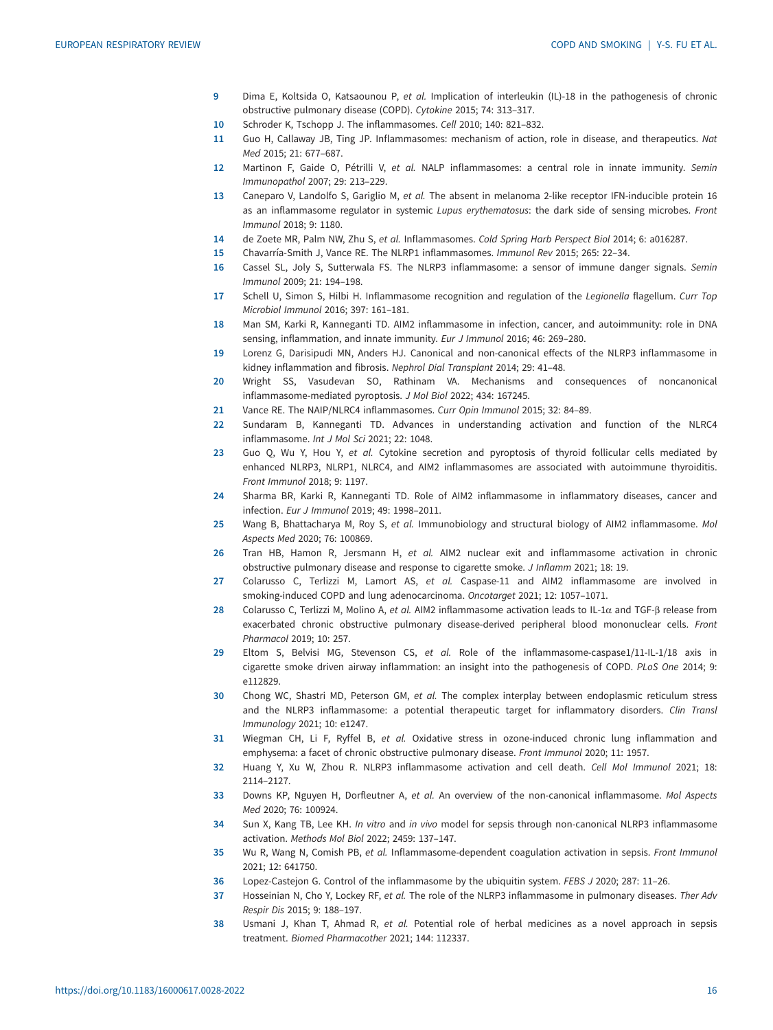- <span id="page-15-0"></span>9 Dima E, Koltsida O, Katsaounou P, et al. Implication of interleukin (IL)-18 in the pathogenesis of chronic obstructive pulmonary disease (COPD). Cytokine 2015; 74: 313–317.
- 10 Schroder K, Tschopp J. The inflammasomes. Cell 2010; 140: 821–832.
- 11 Guo H, Callaway JB, Ting JP. Inflammasomes: mechanism of action, role in disease, and therapeutics. Nat Med 2015; 21: 677–687.
- 12 Martinon F, Gaide O, Pétrilli V, et al. NALP inflammasomes: a central role in innate immunity. Semin Immunopathol 2007; 29: 213–229.
- 13 Caneparo V, Landolfo S, Gariglio M, et al. The absent in melanoma 2-like receptor IFN-inducible protein 16 as an inflammasome regulator in systemic Lupus erythematosus: the dark side of sensing microbes. Front Immunol 2018; 9: 1180.
- 14 de Zoete MR, Palm NW, Zhu S, et al. Inflammasomes. Cold Spring Harb Perspect Biol 2014; 6: a016287.
- 15 Chavarría-Smith J, Vance RE. The NLRP1 inflammasomes. Immunol Rev 2015; 265: 22–34.
- 16 Cassel SL, Joly S, Sutterwala FS. The NLRP3 inflammasome: a sensor of immune danger signals. Semin Immunol 2009; 21: 194–198.
- 17 Schell U, Simon S, Hilbi H. Inflammasome recognition and regulation of the Legionella flagellum. Curr Top Microbiol Immunol 2016; 397: 161–181.
- 18 Man SM, Karki R, Kanneganti TD. AIM2 inflammasome in infection, cancer, and autoimmunity: role in DNA sensing, inflammation, and innate immunity. Eur J Immunol 2016; 46: 269–280.
- 19 Lorenz G, Darisipudi MN, Anders HJ. Canonical and non-canonical effects of the NLRP3 inflammasome in kidney inflammation and fibrosis. Nephrol Dial Transplant 2014; 29: 41–48.
- 20 Wright SS, Vasudevan SO, Rathinam VA. Mechanisms and consequences of noncanonical inflammasome-mediated pyroptosis. J Mol Biol 2022; 434: 167245.
- 21 Vance RE. The NAIP/NLRC4 inflammasomes. Curr Opin Immunol 2015; 32: 84–89.
- 22 Sundaram B, Kanneganti TD. Advances in understanding activation and function of the NLRC4 inflammasome. Int J Mol Sci 2021; 22: 1048.
- 23 Guo Q, Wu Y, Hou Y, et al. Cytokine secretion and pyroptosis of thyroid follicular cells mediated by enhanced NLRP3, NLRP1, NLRC4, and AIM2 inflammasomes are associated with autoimmune thyroiditis. Front Immunol 2018; 9: 1197.
- 24 Sharma BR, Karki R, Kanneganti TD. Role of AIM2 inflammasome in inflammatory diseases, cancer and infection. Eur J Immunol 2019; 49: 1998–2011.
- 25 Wang B, Bhattacharya M, Roy S, et al. Immunobiology and structural biology of AIM2 inflammasome. Mol Aspects Med 2020; 76: 100869.
- 26 Tran HB, Hamon R, Jersmann H, et al. AIM2 nuclear exit and inflammasome activation in chronic obstructive pulmonary disease and response to cigarette smoke. J Inflamm 2021; 18: 19.
- 27 Colarusso C, Terlizzi M, Lamort AS, et al. Caspase-11 and AIM2 inflammasome are involved in smoking-induced COPD and lung adenocarcinoma. Oncotarget 2021; 12: 1057–1071.
- 28 Colarusso C, Terlizzi M, Molino A, et al. AIM2 inflammasome activation leads to IL-1α and TGF-β release from exacerbated chronic obstructive pulmonary disease-derived peripheral blood mononuclear cells. Front Pharmacol 2019; 10: 257.
- 29 Eltom S, Belvisi MG, Stevenson CS, et al. Role of the inflammasome-caspase1/11-IL-1/18 axis in cigarette smoke driven airway inflammation: an insight into the pathogenesis of COPD. PLoS One 2014; 9: e112829.
- 30 Chong WC, Shastri MD, Peterson GM, et al. The complex interplay between endoplasmic reticulum stress and the NLRP3 inflammasome: a potential therapeutic target for inflammatory disorders. Clin Transl Immunology 2021; 10: e1247.
- 31 Wiegman CH, Li F, Ryffel B, et al. Oxidative stress in ozone-induced chronic lung inflammation and emphysema: a facet of chronic obstructive pulmonary disease. Front Immunol 2020; 11: 1957.
- 32 Huang Y, Xu W, Zhou R. NLRP3 inflammasome activation and cell death. Cell Mol Immunol 2021; 18: 2114–2127.
- 33 Downs KP, Nguyen H, Dorfleutner A, et al. An overview of the non-canonical inflammasome. Mol Aspects Med 2020; 76: 100924.
- 34 Sun X, Kang TB, Lee KH. In vitro and in vivo model for sepsis through non-canonical NLRP3 inflammasome activation. Methods Mol Biol 2022; 2459: 137–147.
- 35 Wu R, Wang N, Comish PB, et al. Inflammasome-dependent coagulation activation in sepsis. Front Immunol 2021; 12: 641750.
- 36 Lopez-Castejon G. Control of the inflammasome by the ubiquitin system. FEBS J 2020; 287: 11–26.
- 37 Hosseinian N, Cho Y, Lockey RF, et al. The role of the NLRP3 inflammasome in pulmonary diseases. Ther Adv Respir Dis 2015; 9: 188–197.
- 38 Usmani J, Khan T, Ahmad R, et al. Potential role of herbal medicines as a novel approach in sepsis treatment. Biomed Pharmacother 2021; 144: 112337.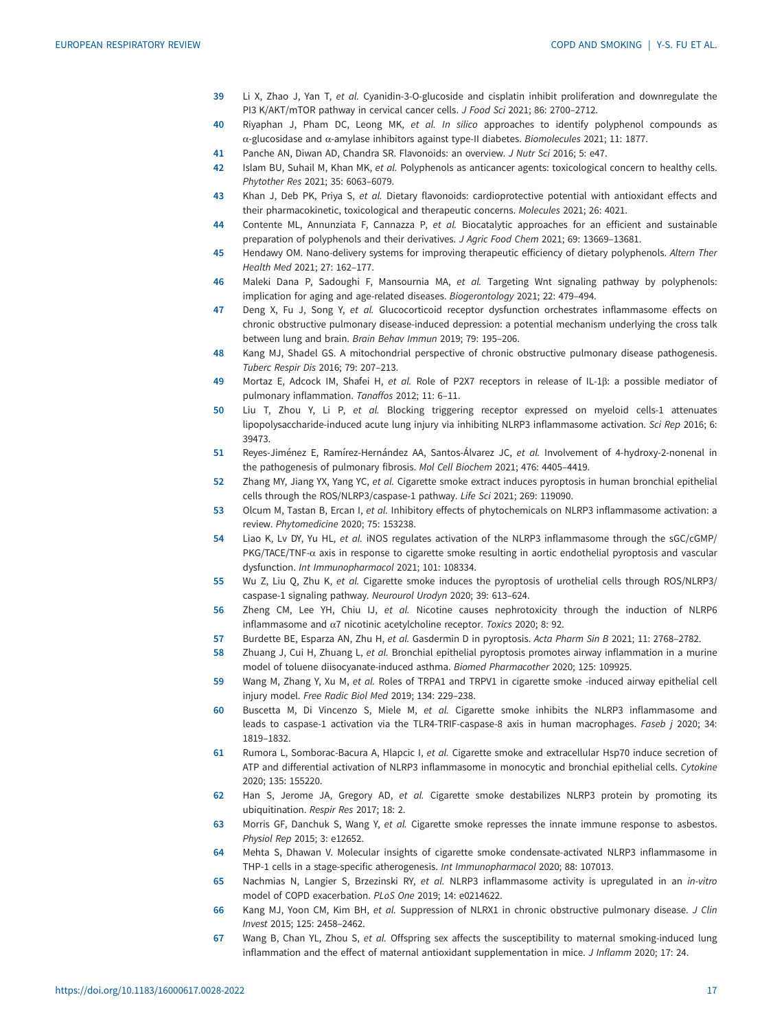- <span id="page-16-0"></span>39 Li X, Zhao J, Yan T, et al. Cyanidin-3-O-glucoside and cisplatin inhibit proliferation and downregulate the PI3 K/AKT/mTOR pathway in cervical cancer cells. J Food Sci 2021; 86: 2700–2712.
- 40 Riyaphan J, Pham DC, Leong MK, et al. In silico approaches to identify polyphenol compounds as α-glucosidase and α-amylase inhibitors against type-II diabetes. Biomolecules 2021; 11: 1877.
- 41 Panche AN, Diwan AD, Chandra SR. Flavonoids: an overview. J Nutr Sci 2016; 5: e47.
- 42 Islam BU, Suhail M, Khan MK, et al. Polyphenols as anticancer agents: toxicological concern to healthy cells. Phytother Res 2021; 35: 6063–6079.
- 43 Khan J, Deb PK, Priya S, et al. Dietary flavonoids: cardioprotective potential with antioxidant effects and their pharmacokinetic, toxicological and therapeutic concerns. Molecules 2021; 26: 4021.
- 44 Contente ML, Annunziata F, Cannazza P, et al. Biocatalytic approaches for an efficient and sustainable preparation of polyphenols and their derivatives. J Agric Food Chem 2021; 69: 13669–13681.
- 45 Hendawy OM. Nano-delivery systems for improving therapeutic efficiency of dietary polyphenols. Altern Ther Health Med 2021; 27: 162–177.
- 46 Maleki Dana P, Sadoughi F, Mansournia MA, et al. Targeting Wnt signaling pathway by polyphenols: implication for aging and age-related diseases. Biogerontology 2021; 22: 479–494.
- 47 Deng X, Fu J, Song Y, et al. Glucocorticoid receptor dysfunction orchestrates inflammasome effects on chronic obstructive pulmonary disease-induced depression: a potential mechanism underlying the cross talk between lung and brain. Brain Behav Immun 2019; 79: 195–206.
- 48 Kang MJ, Shadel GS. A mitochondrial perspective of chronic obstructive pulmonary disease pathogenesis. Tuberc Respir Dis 2016; 79: 207–213.
- 49 Mortaz E, Adcock IM, Shafei H, et al. Role of P2X7 receptors in release of IL-1β: a possible mediator of pulmonary inflammation. Tanaffos 2012; 11: 6–11.
- 50 Liu T, Zhou Y, Li P, et al. Blocking triggering receptor expressed on myeloid cells-1 attenuates lipopolysaccharide-induced acute lung injury via inhibiting NLRP3 inflammasome activation. Sci Rep 2016; 6: 39473.
- 51 Reyes-Jiménez E, Ramírez-Hernández AA, Santos-Álvarez JC, et al. Involvement of 4-hydroxy-2-nonenal in the pathogenesis of pulmonary fibrosis. Mol Cell Biochem 2021; 476: 4405–4419.
- 52 Zhang MY, Jiang YX, Yang YC, et al. Cigarette smoke extract induces pyroptosis in human bronchial epithelial cells through the ROS/NLRP3/caspase-1 pathway. Life Sci 2021; 269: 119090.
- 53 Olcum M, Tastan B, Ercan I, et al. Inhibitory effects of phytochemicals on NLRP3 inflammasome activation: a review. Phytomedicine 2020; 75: 153238.
- 54 Liao K, Lv DY, Yu HL, et al. iNOS regulates activation of the NLRP3 inflammasome through the sGC/cGMP/ PKG/TACE/TNF- $\alpha$  axis in response to cigarette smoke resulting in aortic endothelial pyroptosis and vascular dysfunction. Int Immunopharmacol 2021; 101: 108334.
- 55 Wu Z, Liu Q, Zhu K, et al. Cigarette smoke induces the pyroptosis of urothelial cells through ROS/NLRP3/ caspase-1 signaling pathway. Neurourol Urodyn 2020; 39: 613–624.
- 56 Zheng CM, Lee YH, Chiu IJ, et al. Nicotine causes nephrotoxicity through the induction of NLRP6 inflammasome and α7 nicotinic acetylcholine receptor. Toxics 2020; 8: 92.
- 57 Burdette BE, Esparza AN, Zhu H, et al. Gasdermin D in pyroptosis. Acta Pharm Sin B 2021; 11: 2768–2782.
- 58 Zhuang J, Cui H, Zhuang L, et al. Bronchial epithelial pyroptosis promotes airway inflammation in a murine model of toluene diisocyanate-induced asthma. Biomed Pharmacother 2020; 125: 109925.
- 59 Wang M, Zhang Y, Xu M, et al. Roles of TRPA1 and TRPV1 in cigarette smoke -induced airway epithelial cell injury model. Free Radic Biol Med 2019; 134: 229–238.
- 60 Buscetta M, Di Vincenzo S, Miele M, et al. Cigarette smoke inhibits the NLRP3 inflammasome and leads to caspase-1 activation via the TLR4-TRIF-caspase-8 axis in human macrophages. Faseb j 2020; 34: 1819–1832.
- 61 Rumora L, Somborac-Bacura A, Hlapcic I, et al. Cigarette smoke and extracellular Hsp70 induce secretion of ATP and differential activation of NLRP3 inflammasome in monocytic and bronchial epithelial cells. Cytokine 2020; 135: 155220.
- 62 Han S, Jerome JA, Gregory AD, et al. Cigarette smoke destabilizes NLRP3 protein by promoting its ubiquitination. Respir Res 2017; 18: 2.
- 63 Morris GF, Danchuk S, Wang Y, et al. Cigarette smoke represses the innate immune response to asbestos. Physiol Rep 2015; 3: e12652.
- 64 Mehta S, Dhawan V. Molecular insights of cigarette smoke condensate-activated NLRP3 inflammasome in THP-1 cells in a stage-specific atherogenesis. Int Immunopharmacol 2020; 88: 107013.
- 65 Nachmias N, Langier S, Brzezinski RY, et al. NLRP3 inflammasome activity is upregulated in an in-vitro model of COPD exacerbation. PLoS One 2019; 14: e0214622.
- 66 Kang MJ, Yoon CM, Kim BH, et al. Suppression of NLRX1 in chronic obstructive pulmonary disease. J Clin Invest 2015; 125: 2458–2462.
- 67 Wang B, Chan YL, Zhou S, et al. Offspring sex affects the susceptibility to maternal smoking-induced lung inflammation and the effect of maternal antioxidant supplementation in mice. J Inflamm 2020; 17: 24.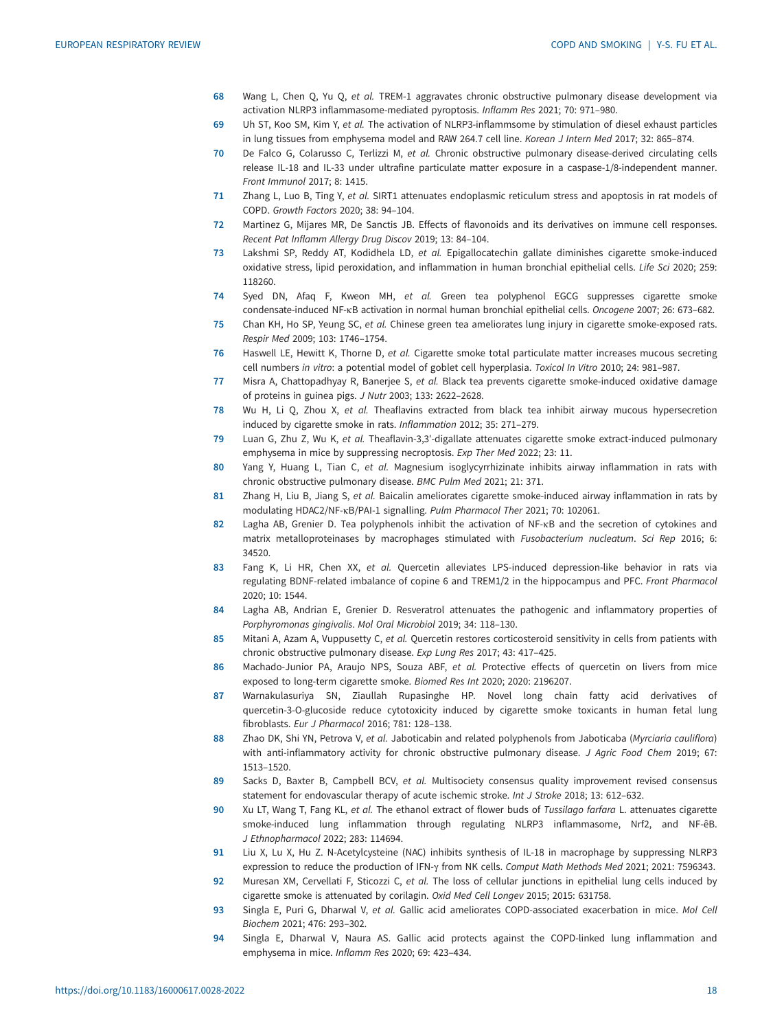- <span id="page-17-0"></span>68 Wang L, Chen Q, Yu Q, et al. TREM-1 aggravates chronic obstructive pulmonary disease development via activation NLRP3 inflammasome-mediated pyroptosis. Inflamm Res 2021; 70: 971–980.
- 69 Uh ST, Koo SM, Kim Y, et al. The activation of NLRP3-inflammsome by stimulation of diesel exhaust particles in lung tissues from emphysema model and RAW 264.7 cell line. Korean J Intern Med 2017; 32: 865-874.
- 70 De Falco G, Colarusso C, Terlizzi M, et al. Chronic obstructive pulmonary disease-derived circulating cells release IL-18 and IL-33 under ultrafine particulate matter exposure in a caspase-1/8-independent manner. Front Immunol 2017; 8: 1415.
- 71 Zhang L, Luo B, Ting Y, et al. SIRT1 attenuates endoplasmic reticulum stress and apoptosis in rat models of COPD. Growth Factors 2020; 38: 94–104.
- 72 Martinez G, Mijares MR, De Sanctis JB. Effects of flavonoids and its derivatives on immune cell responses. Recent Pat Inflamm Allergy Drug Discov 2019; 13: 84–104.
- 73 Lakshmi SP, Reddy AT, Kodidhela LD, et al. Epigallocatechin gallate diminishes cigarette smoke-induced oxidative stress, lipid peroxidation, and inflammation in human bronchial epithelial cells. Life Sci 2020; 259: 118260.
- 74 Syed DN, Afaq F, Kweon MH, et al. Green tea polyphenol EGCG suppresses cigarette smoke condensate-induced NF-κB activation in normal human bronchial epithelial cells. Oncogene 2007; 26: 673–682.
- 75 Chan KH, Ho SP, Yeung SC, et al. Chinese green tea ameliorates lung injury in cigarette smoke-exposed rats. Respir Med 2009; 103: 1746–1754.
- 76 Haswell LE, Hewitt K, Thorne D, et al. Cigarette smoke total particulate matter increases mucous secreting cell numbers in vitro: a potential model of goblet cell hyperplasia. Toxicol In Vitro 2010; 24: 981–987.
- 77 Misra A, Chattopadhyay R, Banerjee S, et al. Black tea prevents cigarette smoke-induced oxidative damage of proteins in guinea pigs. J Nutr 2003; 133: 2622–2628.
- 78 Wu H, Li Q, Zhou X, et al. Theaflavins extracted from black tea inhibit airway mucous hypersecretion induced by cigarette smoke in rats. Inflammation 2012; 35: 271–279.
- 79 Luan G, Zhu Z, Wu K, et al. Theaflavin-3,3'-digallate attenuates cigarette smoke extract-induced pulmonary emphysema in mice by suppressing necroptosis. Exp Ther Med 2022; 23: 11.
- 80 Yang Y, Huang L, Tian C, et al. Magnesium isoglycyrrhizinate inhibits airway inflammation in rats with chronic obstructive pulmonary disease. BMC Pulm Med 2021; 21: 371.
- 81 Zhang H, Liu B, Jiang S, et al. Baicalin ameliorates cigarette smoke-induced airway inflammation in rats by modulating HDAC2/NF-κB/PAI-1 signalling. Pulm Pharmacol Ther 2021; 70: 102061.
- 82 Lagha AB, Grenier D. Tea polyphenols inhibit the activation of NF-KB and the secretion of cytokines and matrix metalloproteinases by macrophages stimulated with Fusobacterium nucleatum. Sci Rep 2016; 6: 34520.
- 83 Fang K, Li HR, Chen XX, et al. Quercetin alleviates LPS-induced depression-like behavior in rats via regulating BDNF-related imbalance of copine 6 and TREM1/2 in the hippocampus and PFC. Front Pharmacol 2020; 10: 1544.
- 84 Lagha AB, Andrian E, Grenier D. Resveratrol attenuates the pathogenic and inflammatory properties of Porphyromonas gingivalis. Mol Oral Microbiol 2019; 34: 118–130.
- 85 Mitani A, Azam A, Vuppusetty C, et al. Quercetin restores corticosteroid sensitivity in cells from patients with chronic obstructive pulmonary disease. Exp Lung Res 2017; 43: 417–425.
- 86 Machado-Junior PA, Araujo NPS, Souza ABF, et al. Protective effects of quercetin on livers from mice exposed to long-term cigarette smoke. Biomed Res Int 2020; 2020: 2196207.
- 87 Warnakulasuriya SN, Ziaullah Rupasinghe HP. Novel long chain fatty acid derivatives of quercetin-3-O-glucoside reduce cytotoxicity induced by cigarette smoke toxicants in human fetal lung fibroblasts. Eur J Pharmacol 2016; 781: 128–138.
- 88 Zhao DK, Shi YN, Petrova V, et al. Jaboticabin and related polyphenols from Jaboticaba (Myrciaria cauliflora) with anti-inflammatory activity for chronic obstructive pulmonary disease. J Agric Food Chem 2019; 67: 1513–1520.
- 89 Sacks D, Baxter B, Campbell BCV, et al. Multisociety consensus quality improvement revised consensus statement for endovascular therapy of acute ischemic stroke. Int J Stroke 2018; 13: 612–632.
- 90 Xu LT, Wang T, Fang KL, et al. The ethanol extract of flower buds of Tussilago farfara L. attenuates cigarette smoke-induced lung inflammation through regulating NLRP3 inflammasome, Nrf2, and NF-êB. J Ethnopharmacol 2022; 283: 114694.
- 91 Liu X, Lu X, Hu Z. N-Acetylcysteine (NAC) inhibits synthesis of IL-18 in macrophage by suppressing NLRP3 expression to reduce the production of IFN-γ from NK cells. Comput Math Methods Med 2021; 2021: 7596343.
- 92 Muresan XM, Cervellati F, Sticozzi C, et al. The loss of cellular junctions in epithelial lung cells induced by cigarette smoke is attenuated by corilagin. Oxid Med Cell Longev 2015; 2015: 631758.
- 93 Singla E, Puri G, Dharwal V, et al. Gallic acid ameliorates COPD-associated exacerbation in mice. Mol Cell Biochem 2021; 476: 293–302.
- 94 Singla E, Dharwal V, Naura AS. Gallic acid protects against the COPD-linked lung inflammation and emphysema in mice. Inflamm Res 2020; 69: 423–434.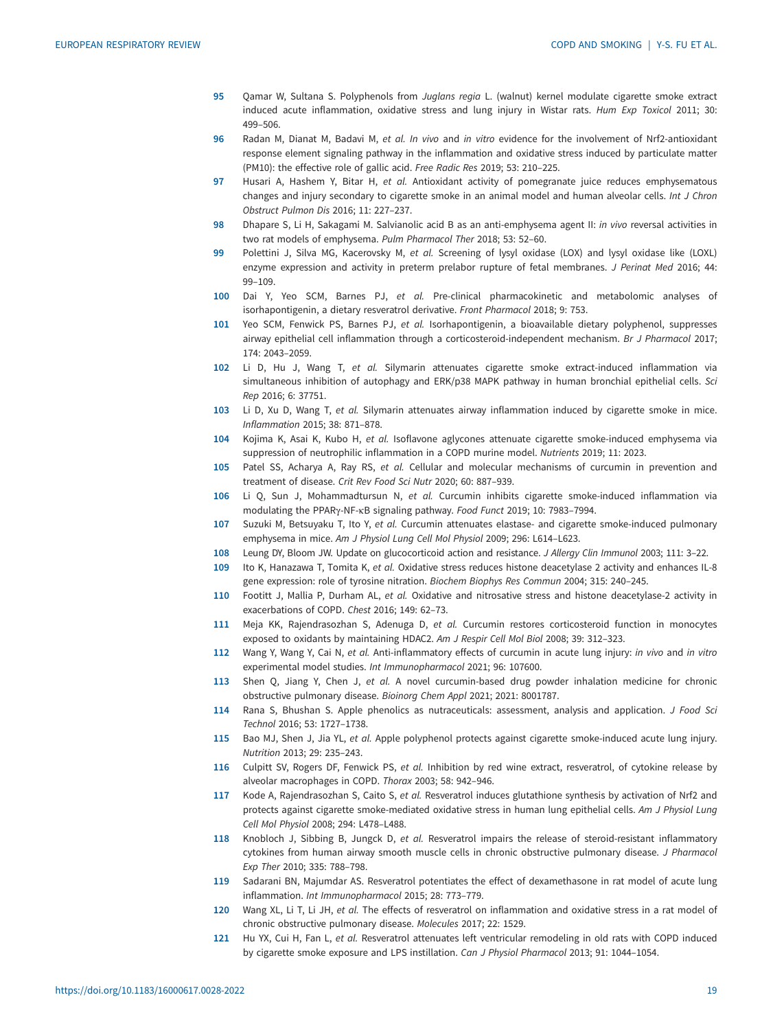- <span id="page-18-0"></span>95 Qamar W, Sultana S. Polyphenols from Juglans regia L. (walnut) kernel modulate cigarette smoke extract induced acute inflammation, oxidative stress and lung injury in Wistar rats. Hum Exp Toxicol 2011; 30: 499–506.
- 96 Radan M, Dianat M, Badavi M, et al. In vivo and in vitro evidence for the involvement of Nrf2-antioxidant response element signaling pathway in the inflammation and oxidative stress induced by particulate matter (PM10): the effective role of gallic acid. Free Radic Res 2019; 53: 210–225.
- 97 Husari A, Hashem Y, Bitar H, et al. Antioxidant activity of pomegranate juice reduces emphysematous changes and injury secondary to cigarette smoke in an animal model and human alveolar cells. Int J Chron Obstruct Pulmon Dis 2016; 11: 227–237.
- 98 Dhapare S, Li H, Sakagami M. Salvianolic acid B as an anti-emphysema agent II: in vivo reversal activities in two rat models of emphysema. Pulm Pharmacol Ther 2018; 53: 52–60.
- 99 Polettini J, Silva MG, Kacerovsky M, et al. Screening of lysyl oxidase (LOX) and lysyl oxidase like (LOXL) enzyme expression and activity in preterm prelabor rupture of fetal membranes. J Perinat Med 2016; 44: 99–109.
- 100 Dai Y, Yeo SCM, Barnes PJ, et al. Pre-clinical pharmacokinetic and metabolomic analyses of isorhapontigenin, a dietary resveratrol derivative. Front Pharmacol 2018; 9: 753.
- 101 Yeo SCM, Fenwick PS, Barnes PJ, et al. Isorhapontigenin, a bioavailable dietary polyphenol, suppresses airway epithelial cell inflammation through a corticosteroid-independent mechanism. Br J Pharmacol 2017; 174: 2043–2059.
- 102 Li D, Hu J, Wang T, et al. Silymarin attenuates cigarette smoke extract-induced inflammation via simultaneous inhibition of autophagy and ERK/p38 MAPK pathway in human bronchial epithelial cells. Sci Rep 2016; 6: 37751.
- 103 Li D, Xu D, Wang T, et al. Silymarin attenuates airway inflammation induced by cigarette smoke in mice. Inflammation 2015; 38: 871–878.
- 104 Kojima K, Asai K, Kubo H, et al. Isoflavone aglycones attenuate cigarette smoke-induced emphysema via suppression of neutrophilic inflammation in a COPD murine model. Nutrients 2019; 11: 2023.
- 105 Patel SS, Acharya A, Ray RS, et al. Cellular and molecular mechanisms of curcumin in prevention and treatment of disease. Crit Rev Food Sci Nutr 2020; 60: 887–939.
- 106 Li Q, Sun J, Mohammadtursun N, et al. Curcumin inhibits cigarette smoke-induced inflammation via modulating the PPARγ-NF-κB signaling pathway. Food Funct 2019; 10: 7983–7994.
- 107 Suzuki M, Betsuyaku T, Ito Y, et al. Curcumin attenuates elastase- and cigarette smoke-induced pulmonary emphysema in mice. Am J Physiol Lung Cell Mol Physiol 2009; 296: L614–L623.
- 108 Leung DY, Bloom JW. Update on glucocorticoid action and resistance. J Allergy Clin Immunol 2003; 111: 3–22.
- 109 Ito K, Hanazawa T, Tomita K, et al. Oxidative stress reduces histone deacetylase 2 activity and enhances IL-8 gene expression: role of tyrosine nitration. Biochem Biophys Res Commun 2004; 315: 240–245.
- 110 Footitt J, Mallia P, Durham AL, et al. Oxidative and nitrosative stress and histone deacetylase-2 activity in exacerbations of COPD. Chest 2016; 149: 62–73.
- 111 Meja KK, Rajendrasozhan S, Adenuga D, et al. Curcumin restores corticosteroid function in monocytes exposed to oxidants by maintaining HDAC2. Am J Respir Cell Mol Biol 2008; 39: 312–323.
- 112 Wang Y, Wang Y, Cai N, et al. Anti-inflammatory effects of curcumin in acute lung injury: in vivo and in vitro experimental model studies. Int Immunopharmacol 2021; 96: 107600.
- 113 Shen Q, Jiang Y, Chen J, et al. A novel curcumin-based drug powder inhalation medicine for chronic obstructive pulmonary disease. Bioinorg Chem Appl 2021; 2021: 8001787.
- 114 Rana S, Bhushan S. Apple phenolics as nutraceuticals: assessment, analysis and application. J Food Sci Technol 2016; 53: 1727–1738.
- 115 Bao MJ, Shen J, Jia YL, et al. Apple polyphenol protects against cigarette smoke-induced acute lung injury. Nutrition 2013; 29: 235–243.
- 116 Culpitt SV, Rogers DF, Fenwick PS, et al. Inhibition by red wine extract, resveratrol, of cytokine release by alveolar macrophages in COPD. Thorax 2003; 58: 942–946.
- 117 Kode A, Rajendrasozhan S, Caito S, et al. Resveratrol induces glutathione synthesis by activation of Nrf2 and protects against cigarette smoke-mediated oxidative stress in human lung epithelial cells. Am J Physiol Lung Cell Mol Physiol 2008; 294: L478–L488.
- 118 Knobloch J, Sibbing B, Jungck D, et al. Resveratrol impairs the release of steroid-resistant inflammatory cytokines from human airway smooth muscle cells in chronic obstructive pulmonary disease. J Pharmacol Exp Ther 2010; 335: 788–798.
- 119 Sadarani BN, Majumdar AS. Resveratrol potentiates the effect of dexamethasone in rat model of acute lung inflammation. Int Immunopharmacol 2015; 28: 773–779.
- 120 Wang XL, Li T, Li JH, et al. The effects of resveratrol on inflammation and oxidative stress in a rat model of chronic obstructive pulmonary disease. Molecules 2017; 22: 1529.
- 121 Hu YX, Cui H, Fan L, et al. Resveratrol attenuates left ventricular remodeling in old rats with COPD induced by cigarette smoke exposure and LPS instillation. Can J Physiol Pharmacol 2013; 91: 1044–1054.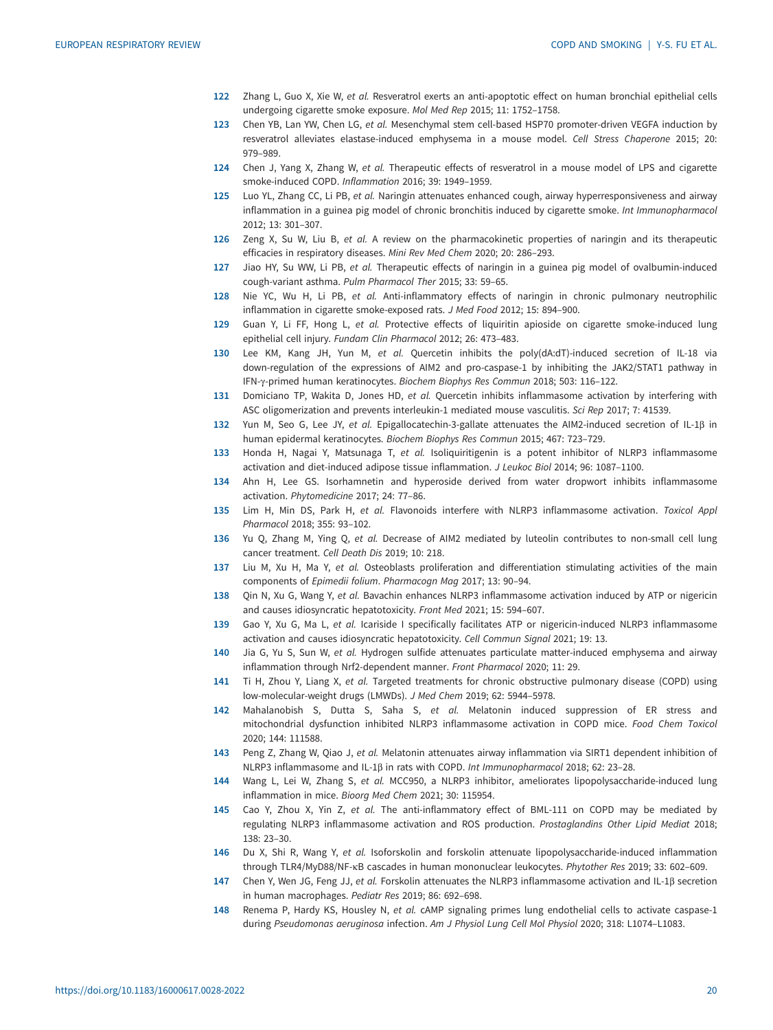- <span id="page-19-0"></span>122 Zhang L, Guo X, Xie W, et al. Resveratrol exerts an anti-apoptotic effect on human bronchial epithelial cells undergoing cigarette smoke exposure. Mol Med Rep 2015; 11: 1752–1758.
- 123 Chen YB, Lan YW, Chen LG, et al. Mesenchymal stem cell-based HSP70 promoter-driven VEGFA induction by resveratrol alleviates elastase-induced emphysema in a mouse model. Cell Stress Chaperone 2015; 20: 979–989.
- 124 Chen J, Yang X, Zhang W, et al. Therapeutic effects of resveratrol in a mouse model of LPS and cigarette smoke-induced COPD. Inflammation 2016; 39: 1949–1959.
- 125 Luo YL, Zhang CC, Li PB, et al. Naringin attenuates enhanced cough, airway hyperresponsiveness and airway inflammation in a guinea pig model of chronic bronchitis induced by cigarette smoke. Int Immunopharmacol 2012; 13: 301–307.
- 126 Zeng X, Su W, Liu B, et al. A review on the pharmacokinetic properties of naringin and its therapeutic efficacies in respiratory diseases. Mini Rev Med Chem 2020; 20: 286–293.
- 127 Jiao HY, Su WW, Li PB, et al. Therapeutic effects of naringin in a guinea pig model of ovalbumin-induced cough-variant asthma. Pulm Pharmacol Ther 2015; 33: 59–65.
- 128 Nie YC, Wu H, Li PB, et al. Anti-inflammatory effects of naringin in chronic pulmonary neutrophilic inflammation in cigarette smoke-exposed rats. J Med Food 2012; 15: 894–900.
- 129 Guan Y, Li FF, Hong L, et al. Protective effects of liquiritin apioside on cigarette smoke-induced lung epithelial cell injury. Fundam Clin Pharmacol 2012; 26: 473–483.
- 130 Lee KM, Kang JH, Yun M, et al. Quercetin inhibits the poly(dA:dT)-induced secretion of IL-18 via down-regulation of the expressions of AIM2 and pro-caspase-1 by inhibiting the JAK2/STAT1 pathway in IFN-γ-primed human keratinocytes. Biochem Biophys Res Commun 2018; 503: 116–122.
- 131 Domiciano TP, Wakita D, Jones HD, et al. Quercetin inhibits inflammasome activation by interfering with ASC oligomerization and prevents interleukin-1 mediated mouse vasculitis. Sci Rep 2017; 7: 41539.
- 132 Yun M, Seo G, Lee JY, et al. Epigallocatechin-3-gallate attenuates the AIM2-induced secretion of IL-1β in human epidermal keratinocytes. Biochem Biophys Res Commun 2015; 467: 723–729.
- 133 Honda H, Nagai Y, Matsunaga T, et al. Isoliquiritigenin is a potent inhibitor of NLRP3 inflammasome activation and diet-induced adipose tissue inflammation. J Leukoc Biol 2014; 96: 1087–1100.
- 134 Ahn H, Lee GS. Isorhamnetin and hyperoside derived from water dropwort inhibits inflammasome activation. Phytomedicine 2017; 24: 77–86.
- 135 Lim H, Min DS, Park H, et al. Flavonoids interfere with NLRP3 inflammasome activation. Toxicol Appl Pharmacol 2018; 355: 93–102.
- 136 Yu Q, Zhang M, Ying Q, et al. Decrease of AIM2 mediated by luteolin contributes to non-small cell lung cancer treatment. Cell Death Dis 2019; 10: 218.
- 137 Liu M, Xu H, Ma Y, et al. Osteoblasts proliferation and differentiation stimulating activities of the main components of Epimedii folium. Pharmacogn Mag 2017; 13: 90–94.
- 138 Qin N, Xu G, Wang Y, et al. Bavachin enhances NLRP3 inflammasome activation induced by ATP or nigericin and causes idiosyncratic hepatotoxicity. Front Med 2021; 15: 594–607.
- 139 Gao Y, Xu G, Ma L, et al. Icariside I specifically facilitates ATP or nigericin-induced NLRP3 inflammasome activation and causes idiosyncratic hepatotoxicity. Cell Commun Signal 2021; 19: 13.
- 140 Jia G, Yu S, Sun W, et al. Hydrogen sulfide attenuates particulate matter-induced emphysema and airway inflammation through Nrf2-dependent manner. Front Pharmacol 2020; 11: 29.
- 141 Ti H, Zhou Y, Liang X, et al. Targeted treatments for chronic obstructive pulmonary disease (COPD) using low-molecular-weight drugs (LMWDs). J Med Chem 2019; 62: 5944–5978.
- 142 Mahalanobish S, Dutta S, Saha S, et al. Melatonin induced suppression of ER stress and mitochondrial dysfunction inhibited NLRP3 inflammasome activation in COPD mice. Food Chem Toxicol 2020; 144: 111588.
- 143 Peng Z, Zhang W, Qiao J, et al. Melatonin attenuates airway inflammation via SIRT1 dependent inhibition of NLRP3 inflammasome and IL-1β in rats with COPD. Int Immunopharmacol 2018; 62: 23–28.
- 144 Wang L, Lei W, Zhang S, et al. MCC950, a NLRP3 inhibitor, ameliorates lipopolysaccharide-induced lung inflammation in mice. Bioorg Med Chem 2021; 30: 115954.
- 145 Cao Y, Zhou X, Yin Z, et al. The anti-inflammatory effect of BML-111 on COPD may be mediated by regulating NLRP3 inflammasome activation and ROS production. Prostaglandins Other Lipid Mediat 2018; 138: 23–30.
- 146 Du X, Shi R, Wang Y, et al. Isoforskolin and forskolin attenuate lipopolysaccharide-induced inflammation through TLR4/MyD88/NF-κB cascades in human mononuclear leukocytes. Phytother Res 2019; 33: 602–609.
- 147 Chen Y, Wen JG, Feng JJ, et al. Forskolin attenuates the NLRP3 inflammasome activation and IL-1β secretion in human macrophages. Pediatr Res 2019; 86: 692–698.
- 148 Renema P, Hardy KS, Housley N, et al. cAMP signaling primes lung endothelial cells to activate caspase-1 during Pseudomonas aeruginosa infection. Am J Physiol Lung Cell Mol Physiol 2020; 318: L1074–L1083.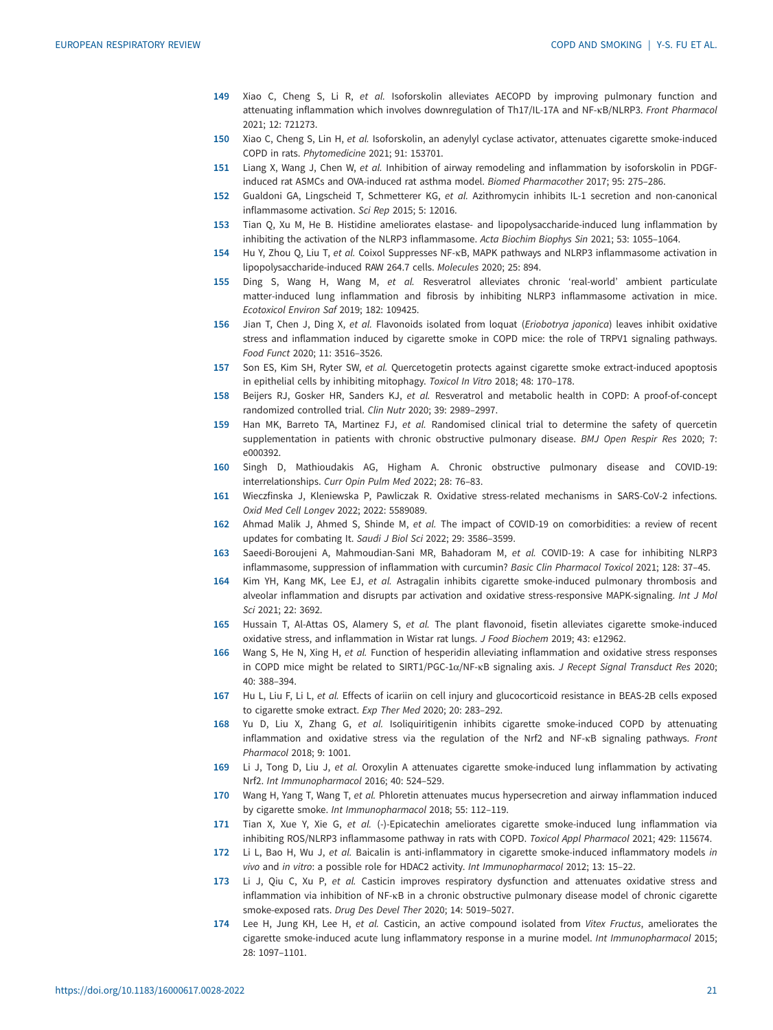- <span id="page-20-0"></span>149 Xiao C, Cheng S, Li R, et al. Isoforskolin alleviates AECOPD by improving pulmonary function and attenuating inflammation which involves downregulation of Th17/IL-17A and NF-κB/NLRP3. Front Pharmacol 2021; 12: 721273.
- 150 Xiao C, Cheng S, Lin H, et al. Isoforskolin, an adenylyl cyclase activator, attenuates cigarette smoke-induced COPD in rats. Phytomedicine 2021; 91: 153701.
- 151 Liang X, Wang J, Chen W, et al. Inhibition of airway remodeling and inflammation by isoforskolin in PDGFinduced rat ASMCs and OVA-induced rat asthma model. Biomed Pharmacother 2017; 95: 275–286.
- 152 Gualdoni GA, Lingscheid T, Schmetterer KG, et al. Azithromycin inhibits IL-1 secretion and non-canonical inflammasome activation. Sci Rep 2015; 5: 12016.
- 153 Tian Q, Xu M, He B. Histidine ameliorates elastase- and lipopolysaccharide-induced lung inflammation by inhibiting the activation of the NLRP3 inflammasome. Acta Biochim Biophys Sin 2021; 53: 1055–1064.
- 154 Hu Y, Zhou Q, Liu T, et al. Coixol Suppresses NF-κB, MAPK pathways and NLRP3 inflammasome activation in lipopolysaccharide-induced RAW 264.7 cells. Molecules 2020; 25: 894.
- 155 Ding S, Wang H, Wang M, et al. Resveratrol alleviates chronic 'real-world' ambient particulate matter-induced lung inflammation and fibrosis by inhibiting NLRP3 inflammasome activation in mice. Ecotoxicol Environ Saf 2019; 182: 109425.
- 156 Jian T, Chen J, Ding X, et al. Flavonoids isolated from loquat (Eriobotrya japonica) leaves inhibit oxidative stress and inflammation induced by cigarette smoke in COPD mice: the role of TRPV1 signaling pathways. Food Funct 2020; 11: 3516–3526.
- 157 Son ES, Kim SH, Ryter SW, et al. Quercetogetin protects against cigarette smoke extract-induced apoptosis in epithelial cells by inhibiting mitophagy. Toxicol In Vitro 2018; 48: 170–178.
- 158 Beijers RJ, Gosker HR, Sanders KJ, et al. Resveratrol and metabolic health in COPD: A proof-of-concept randomized controlled trial. Clin Nutr 2020; 39: 2989–2997.
- 159 Han MK, Barreto TA, Martinez FJ, et al. Randomised clinical trial to determine the safety of quercetin supplementation in patients with chronic obstructive pulmonary disease. BMJ Open Respir Res 2020; 7: e000392.
- 160 Singh D, Mathioudakis AG, Higham A. Chronic obstructive pulmonary disease and COVID-19: interrelationships. Curr Opin Pulm Med 2022; 28: 76–83.
- 161 Wieczfinska J, Kleniewska P, Pawliczak R. Oxidative stress-related mechanisms in SARS-CoV-2 infections. Oxid Med Cell Longev 2022; 2022: 5589089.
- 162 Ahmad Malik J, Ahmed S, Shinde M, et al. The impact of COVID-19 on comorbidities: a review of recent updates for combating It. Saudi J Biol Sci 2022; 29: 3586–3599.
- 163 Saeedi-Boroujeni A, Mahmoudian-Sani MR, Bahadoram M, et al. COVID-19: A case for inhibiting NLRP3 inflammasome, suppression of inflammation with curcumin? Basic Clin Pharmacol Toxicol 2021; 128: 37–45.
- 164 Kim YH, Kang MK, Lee EJ, et al. Astragalin inhibits cigarette smoke-induced pulmonary thrombosis and alveolar inflammation and disrupts par activation and oxidative stress-responsive MAPK-signaling. Int J Mol Sci 2021; 22: 3692.
- 165 Hussain T, Al-Attas OS, Alamery S, et al. The plant flavonoid, fisetin alleviates cigarette smoke-induced oxidative stress, and inflammation in Wistar rat lungs. J Food Biochem 2019; 43: e12962.
- 166 Wang S, He N, Xing H, et al. Function of hesperidin alleviating inflammation and oxidative stress responses in COPD mice might be related to SIRT1/PGC-1α/NF-κB signaling axis. J Recept Signal Transduct Res 2020; 40: 388–394.
- 167 Hu L, Liu F, Li L, et al. Effects of icariin on cell injury and glucocorticoid resistance in BEAS-2B cells exposed to cigarette smoke extract. Exp Ther Med 2020; 20: 283–292.
- 168 Yu D, Liu X, Zhang G, et al. Isoliquiritigenin inhibits cigarette smoke-induced COPD by attenuating inflammation and oxidative stress via the regulation of the Nrf2 and NF-KB signaling pathways. Front Pharmacol 2018; 9: 1001.
- 169 Li J, Tong D, Liu J, et al. Oroxylin A attenuates cigarette smoke-induced lung inflammation by activating Nrf2. Int Immunopharmacol 2016; 40: 524–529.
- 170 Wang H, Yang T, Wang T, et al. Phloretin attenuates mucus hypersecretion and airway inflammation induced by cigarette smoke. Int Immunopharmacol 2018; 55: 112–119.
- 171 Tian X, Xue Y, Xie G, et al. (-)-Epicatechin ameliorates cigarette smoke-induced lung inflammation via inhibiting ROS/NLRP3 inflammasome pathway in rats with COPD. Toxicol Appl Pharmacol 2021; 429: 115674.
- 172 Li L, Bao H, Wu J, et al. Baicalin is anti-inflammatory in cigarette smoke-induced inflammatory models in vivo and in vitro: a possible role for HDAC2 activity. Int Immunopharmacol 2012; 13: 15–22.
- 173 Li J, Qiu C, Xu P, et al. Casticin improves respiratory dysfunction and attenuates oxidative stress and inflammation via inhibition of NF-κB in a chronic obstructive pulmonary disease model of chronic cigarette smoke-exposed rats. Drug Des Devel Ther 2020; 14: 5019–5027.
- 174 Lee H, Jung KH, Lee H, et al. Casticin, an active compound isolated from Vitex Fructus, ameliorates the cigarette smoke-induced acute lung inflammatory response in a murine model. Int Immunopharmacol 2015; 28: 1097–1101.